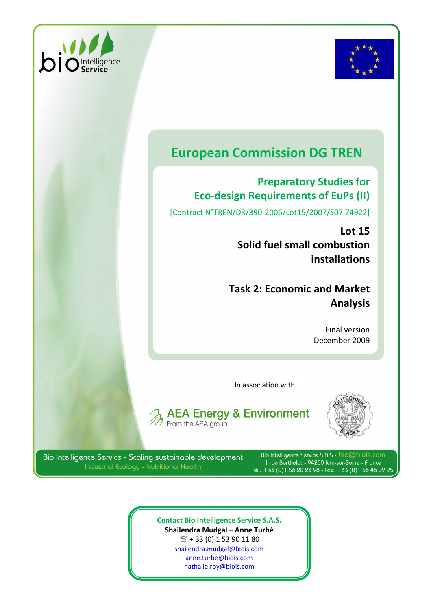



# **European Commission DG TREN**

**Preparatory Studies for Eco-design Requirements of EuPs (II)**

[Contract N°TREN/D3/390-2006/Lot15/2007/S07.74922]

**Lot 15 Solid fuel small combustion installations**

**Task 2: Economic and Market Analysis**

> Final version December 2009

In association with:



**2 AEA Energy & Environment** 

Bio Intelligence Service - Scaling sustainable development Industrial Ecology - Nutritional Health

Bio Intelligence Service S.A.S - bio@biois.com 1 rue Berthelot - 94200 lvry-sur-Seine - France Tél. +33 (0)1 56 20 23 98 - Fax. +33 (0)1 58 46 09 95

**Contact Bio Intelligence Service S.A.S. Shailendra Mudgal – Anne Turbé**   $\mathbb{R}$  + 33 (0) 1 53 90 11 80 shailendra.mudgal@biois.com anne.turbe@biois.com nathalie.roy@biois.com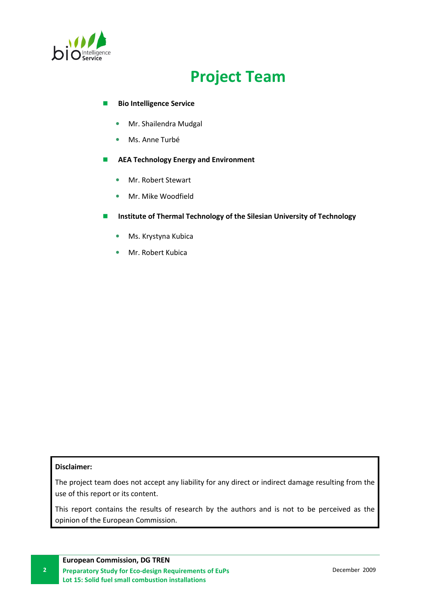

# **Project Team**

# **Bio Intelligence Service**

- Mr. Shailendra Mudgal
- Ms. Anne Turbé
- **AEA Technology Energy and Environment** 
	- Mr. Robert Stewart
	- Mr. Mike Woodfield
- Institute of Thermal Technology of the Silesian University of Technology
	- Ms. Krystyna Kubica
	- Mr. Robert Kubica

### **Disclaimer:**

The project team does not accept any liability for any direct or indirect damage resulting from the use of this report or its content.

This report contains the results of research by the authors and is not to be perceived as the opinion of the European Commission.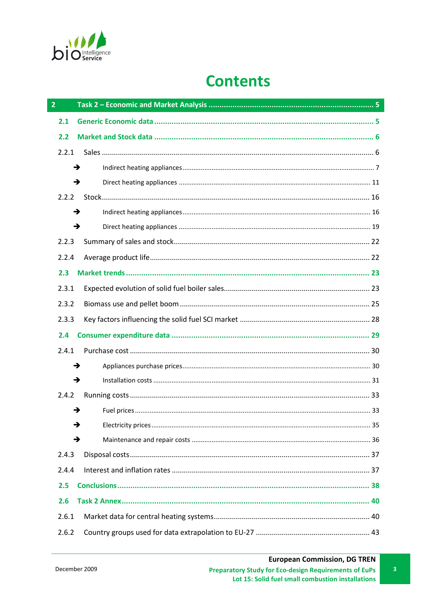

# **Contents**

| $\overline{2}$ |  |
|----------------|--|
| 2.1            |  |
| 2.2            |  |
| 2.2.1          |  |
| →              |  |
| →              |  |
| 2.2.2          |  |
| →              |  |
| →              |  |
| 2.2.3          |  |
| 2.2.4          |  |
| 2.3            |  |
| 2.3.1          |  |
| 2.3.2          |  |
| 2.3.3          |  |
| 2.4            |  |
| 2.4.1          |  |
| →              |  |
| $\rightarrow$  |  |
| 2.4.2          |  |
| →              |  |
| →              |  |
| $\rightarrow$  |  |
| 2.4.3          |  |
| 2.4.4          |  |
| 2.5            |  |
| 2.6            |  |
| 2.6.1          |  |
| 2.6.2          |  |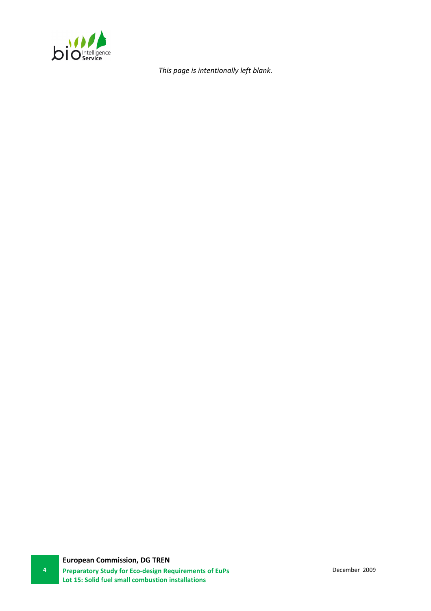

*This page is intentionally left blank.*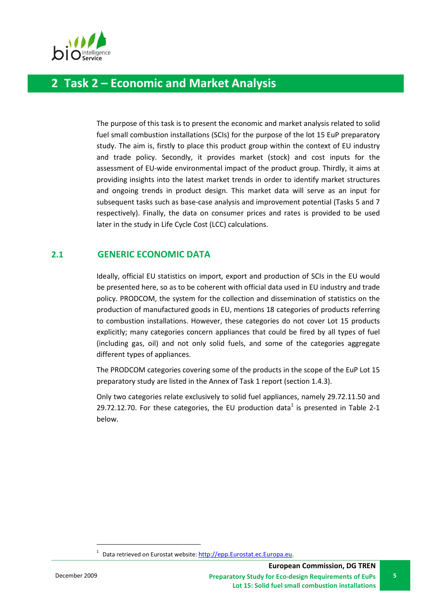

# **2 Task 2 – Economic and Market Analysis**

The purpose of this task is to present the economic and market analysis related to solid fuel small combustion installations (SCIs) for the purpose of the lot 15 EuP preparatory study. The aim is, firstly to place this product group within the context of EU industry and trade policy. Secondly, it provides market (stock) and cost inputs for the assessment of EU-wide environmental impact of the product group. Thirdly, it aims at providing insights into the latest market trends in order to identify market structures and ongoing trends in product design. This market data will serve as an input for subsequent tasks such as base-case analysis and improvement potential (Tasks 5 and 7 respectively). Finally, the data on consumer prices and rates is provided to be used later in the study in Life Cycle Cost (LCC) calculations.

# **2.1 GENERIC ECONOMIC DATA**

Ideally, official EU statistics on import, export and production of SCIs in the EU would be presented here, so as to be coherent with official data used in EU industry and trade policy. PRODCOM, the system for the collection and dissemination of statistics on the production of manufactured goods in EU, mentions 18 categories of products referring to combustion installations. However, these categories do not cover Lot 15 products explicitly; many categories concern appliances that could be fired by all types of fuel (including gas, oil) and not only solid fuels, and some of the categories aggregate different types of appliances.

The PRODCOM categories covering some of the products in the scope of the EuP Lot 15 preparatory study are listed in the Annex of Task 1 report (section 1.4.3).

Only two categories relate exclusively to solid fuel appliances, namely 29.72.11.50 and 29.72.12.70. For these categories, the EU production data<sup>1</sup> is presented in Table 2-1 below.

<sup>1</sup> Data retrieved on Eurostat website: http://epp.Eurostat.ec.Europa.eu.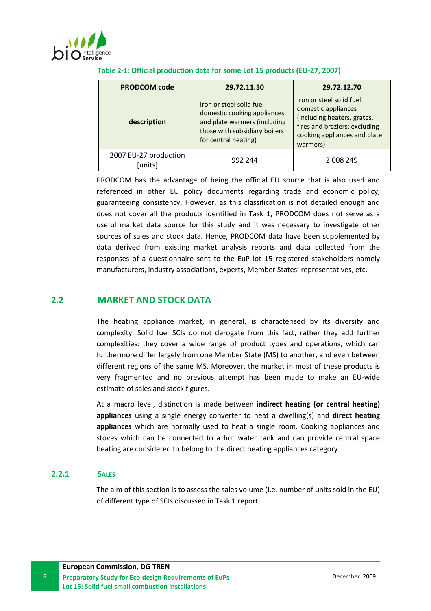

| <b>PRODCOM code</b>              | 29.72.11.50                                                                                                                                      | 29.72.12.70                                                                                                                                                 |
|----------------------------------|--------------------------------------------------------------------------------------------------------------------------------------------------|-------------------------------------------------------------------------------------------------------------------------------------------------------------|
| description                      | Iron or steel solid fuel<br>domestic cooking appliances<br>and plate warmers (including<br>those with subsidiary boilers<br>for central heating) | Iron or steel solid fuel<br>domestic appliances<br>(including heaters, grates,<br>fires and braziers; excluding<br>cooking appliances and plate<br>warmers) |
| 2007 EU-27 production<br>[units] | 992 244                                                                                                                                          | 2 008 249                                                                                                                                                   |

PRODCOM has the advantage of being the official EU source that is also used and referenced in other EU policy documents regarding trade and economic policy, guaranteeing consistency. However, as this classification is not detailed enough and does not cover all the products identified in Task 1, PRODCOM does not serve as a useful market data source for this study and it was necessary to investigate other sources of sales and stock data. Hence, PRODCOM data have been supplemented by data derived from existing market analysis reports and data collected from the responses of a questionnaire sent to the EuP lot 15 registered stakeholders namely manufacturers, industry associations, experts, Member States' representatives, etc.

# **2.2 MARKET AND STOCK DATA**

The heating appliance market, in general, is characterised by its diversity and complexity. Solid fuel SCIs do not derogate from this fact, rather they add further complexities: they cover a wide range of product types and operations, which can furthermore differ largely from one Member State (MS) to another, and even between different regions of the same MS. Moreover, the market in most of these products is very fragmented and no previous attempt has been made to make an EU-wide estimate of sales and stock figures.

At a macro level, distinction is made between **indirect heating (or central heating) appliances** using a single energy converter to heat a dwelling(s) and **direct heating appliances** which are normally used to heat a single room. Cooking appliances and stoves which can be connected to a hot water tank and can provide central space heating are considered to belong to the direct heating appliances category.

### **2.2.1 SALES**

The aim of this section is to assess the sales volume (i.e. number of units sold in the EU) of different type of SCIs discussed in Task 1 report.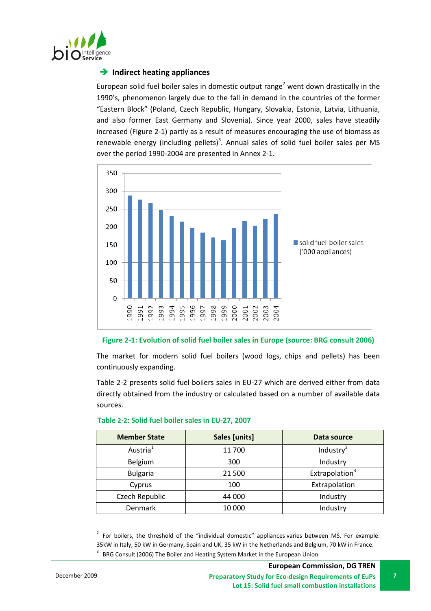

# - **Indirect heating appliances**

European solid fuel boiler sales in domestic output range<sup>2</sup> went down drastically in the 1990's, phenomenon largely due to the fall in demand in the countries of the former "Eastern Block" (Poland, Czech Republic, Hungary, Slovakia, Estonia, Latvia, Lithuania, and also former East Germany and Slovenia). Since year 2000, sales have steadily increased (Figure 2-1) partly as a result of measures encouraging the use of biomass as renewable energy (including pellets)<sup>3</sup>. Annual sales of solid fuel boiler sales per MS over the period 1990-2004 are presented in Annex 2-1.





The market for modern solid fuel boilers (wood logs, chips and pellets) has been continuously expanding.

Table 2-2 presents solid fuel boilers sales in EU-27 which are derived either from data directly obtained from the industry or calculated based on a number of available data sources.

| <b>Member State</b>  | Sales [units] | Data source                |
|----------------------|---------------|----------------------------|
| Austria <sup>1</sup> | 11700         | Industry <sup>2</sup>      |
| Belgium              | 300           | Industry                   |
| <b>Bulgaria</b>      | 21 500        | Extrapolation <sup>3</sup> |
| Cyprus               | 100           | Extrapolation              |
| Czech Republic       | 44 000        | Industry                   |
| Denmark              | 10 000        | Industry                   |
|                      |               |                            |

**Table 2-2: Solid fuel boiler sales in EU-27, 2007** 

 $2$  For boilers, the threshold of the "individual domestic" appliances varies between MS. For example: 35kW in Italy, 50 kW in Germany, Spain and UK, 35 kW in the Netherlands and Belgium, 70 kW in France.  $3$  BRG Consult (2006) The Boiler and Heating System Market in the European Union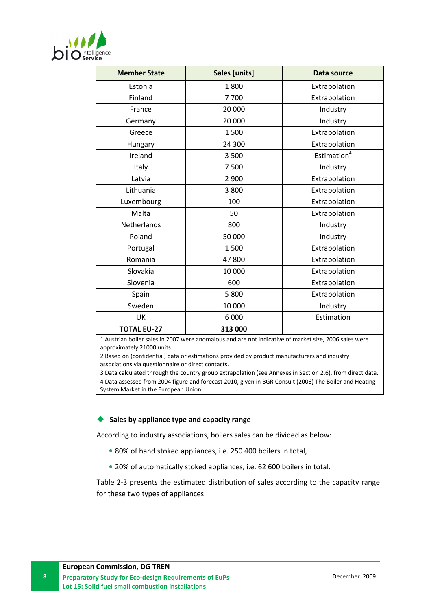

| <b>Member State</b> | Sales [units] | Data source             |
|---------------------|---------------|-------------------------|
| Estonia             | 1800          | Extrapolation           |
| Finland             | 7700          | Extrapolation           |
| France              | 20 000        | Industry                |
| Germany             | 20 000        | Industry                |
| Greece              | 1500          | Extrapolation           |
| Hungary             | 24 300        | Extrapolation           |
| Ireland             | 3 500         | Estimation <sup>4</sup> |
| Italy               | 7 500         | Industry                |
| Latvia              | 2 900         | Extrapolation           |
| Lithuania           | 3800          | Extrapolation           |
| Luxembourg          | 100           | Extrapolation           |
| Malta               | 50            | Extrapolation           |
| Netherlands         | 800           | Industry                |
| Poland              | 50 000        | Industry                |
| Portugal            | 1500          | Extrapolation           |
| Romania             | 47800         | Extrapolation           |
| Slovakia            | 10 000        | Extrapolation           |
| Slovenia            | 600           | Extrapolation           |
| Spain               | 5 800         | Extrapolation           |
| Sweden              | 10 000        | Industry                |
| UK                  | 6 0 0 0       | Estimation              |
| <b>TOTAL EU-27</b>  | 313 000       |                         |

1 Austrian boiler sales in 2007 were anomalous and are not indicative of market size, 2006 sales were approximately 21000 units.

2 Based on (confidential) data or estimations provided by product manufacturers and industry associations via questionnaire or direct contacts.

3 Data calculated through the country group extrapolation (see Annexes in Section 2.6), from direct data. 4 Data assessed from 2004 figure and forecast 2010, given in BGR Consult (2006) The Boiler and Heating System Market in the European Union.

### ◆ Sales by appliance type and capacity range

According to industry associations, boilers sales can be divided as below:

- 80% of hand stoked appliances, i.e. 250 400 boilers in total,
- 20% of automatically stoked appliances, i.e. 62 600 boilers in total.

Table 2-3 presents the estimated distribution of sales according to the capacity range for these two types of appliances.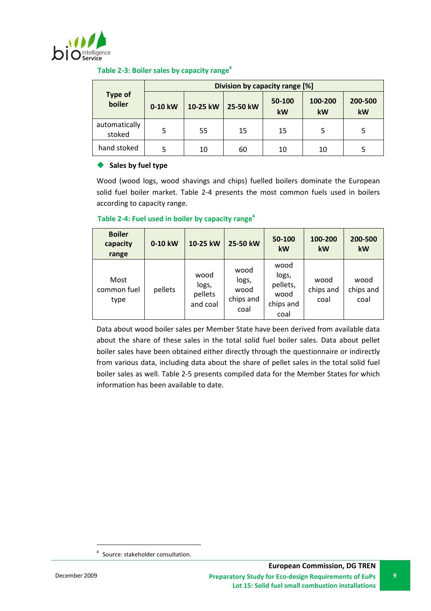

# **Table 2-3: Boiler sales by capacity range<sup>4</sup>**

|                          | Division by capacity range [%] |          |          |              |               |               |  |
|--------------------------|--------------------------------|----------|----------|--------------|---------------|---------------|--|
| <b>Type of</b><br>boiler | 0-10 kW                        | 10-25 kW | 25-50 kW | 50-100<br>kW | 100-200<br>kW | 200-500<br>kW |  |
| automatically<br>stoked  | 5                              | 55       | 15       | 15           |               |               |  |
| hand stoked              |                                | 10       | 60       | 10           | 10            |               |  |

### **Sales by fuel type**

Wood (wood logs, wood shavings and chips) fuelled boilers dominate the European solid fuel boiler market. Table 2-4 presents the most common fuels used in boilers according to capacity range.

|  |  |  | Table 2-4: Fuel used in boiler by capacity range <sup>4</sup> |  |
|--|--|--|---------------------------------------------------------------|--|
|  |  |  |                                                               |  |

| <b>Boiler</b><br>capacity<br>range | 0-10 kW | 10-25 kW                             | 25-50 kW                                   | 50-100<br>kW                                           | 100-200<br>kW             | 200-500<br><b>kW</b>      |
|------------------------------------|---------|--------------------------------------|--------------------------------------------|--------------------------------------------------------|---------------------------|---------------------------|
| Most<br>common fuel<br>type        | pellets | wood<br>logs,<br>pellets<br>and coal | wood<br>logs,<br>wood<br>chips and<br>coal | wood<br>logs,<br>pellets,<br>wood<br>chips and<br>coal | wood<br>chips and<br>coal | wood<br>chips and<br>coal |

Data about wood boiler sales per Member State have been derived from available data about the share of these sales in the total solid fuel boiler sales. Data about pellet boiler sales have been obtained either directly through the questionnaire or indirectly from various data, including data about the share of pellet sales in the total solid fuel boiler sales as well. Table 2-5 presents compiled data for the Member States for which information has been available to date.

<sup>4</sup> Source: stakeholder consultation.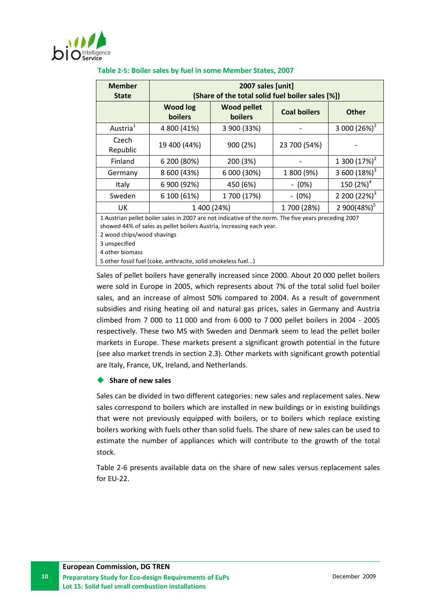

| <b>Member</b><br><b>State</b> | 2007 sales [unit]<br>(Share of the total solid fuel boiler sales [%]) |                                      |                     |                         |  |  |  |
|-------------------------------|-----------------------------------------------------------------------|--------------------------------------|---------------------|-------------------------|--|--|--|
|                               | <b>Wood log</b><br><b>boilers</b>                                     | <b>Wood pellet</b><br><b>boilers</b> | <b>Coal boilers</b> | <b>Other</b>            |  |  |  |
| Austria <sup>1</sup>          | 4 800 (41%)                                                           | 3 900 (33%)                          |                     | 3 000 $(26%)^2$         |  |  |  |
| Czech<br>Republic             | 19 400 (44%)                                                          | 900 (2%)                             | 23 700 (54%)        |                         |  |  |  |
| Finland                       | 6 200 (80%)                                                           | 200 (3%)                             |                     | 1 300 $(17%)^2$         |  |  |  |
| Germany                       | 8 600 (43%)                                                           | 6 000 (30%)                          | 1 800 (9%)          | 3 600 $(18\%)^3$        |  |  |  |
| Italy                         | 6 900 (92%)                                                           | 450 (6%)                             | $-$ (0%)            | 150 $(2%)^4$            |  |  |  |
| Sweden                        | 6 100 (61%)                                                           | 1700 (17%)                           | $- (0%)$            | 2 200 $(22%)^3$         |  |  |  |
| UK                            | 1 400 (24%)                                                           |                                      | 1700 (28%)          | 2 900(48%) <sup>5</sup> |  |  |  |

### **Table 2-5: Boiler sales by fuel in some Member States, 2007**

1 Austrian pellet boiler sales in 2007 are not indicative of the norm. The five years preceding 2007 showed 44% of sales as pellet boilers Austria, increasing each year.

2 wood chips/wood shavings

3 unspecified

4 other biomass

5 other fossil fuel (coke, anthracite, solid smokeless fuel...)

Sales of pellet boilers have generally increased since 2000. About 20 000 pellet boilers were sold in Europe in 2005, which represents about 7% of the total solid fuel boiler sales, and an increase of almost 50% compared to 2004. As a result of government subsidies and rising heating oil and natural gas prices, sales in Germany and Austria climbed from 7 000 to 11 000 and from 6 000 to 7 000 pellet boilers in 2004 - 2005 respectively. These two MS with Sweden and Denmark seem to lead the pellet boiler markets in Europe. These markets present a significant growth potential in the future (see also market trends in section 2.3). Other markets with significant growth potential are Italy, France, UK, Ireland, and Netherlands.

### **Share of new sales**

Sales can be divided in two different categories: new sales and replacement sales. New sales correspond to boilers which are installed in new buildings or in existing buildings that were not previously equipped with boilers, or to boilers which replace existing boilers working with fuels other than solid fuels. The share of new sales can be used to estimate the number of appliances which will contribute to the growth of the total stock.

Table 2-6 presents available data on the share of new sales versus replacement sales for EU-22.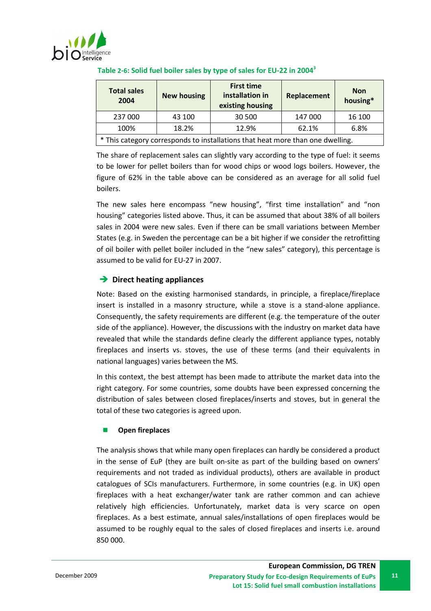

| <b>Total sales</b><br>2004                                                     | <b>New housing</b> | <b>First time</b><br>installation in<br>existing housing | Replacement | <b>Non</b><br>housing* |  |
|--------------------------------------------------------------------------------|--------------------|----------------------------------------------------------|-------------|------------------------|--|
| 237 000                                                                        | 43 100             | 30 500                                                   | 147 000     | 16 100                 |  |
| 18.2%<br>12.9%<br>62.1%<br>6.8%<br>100%                                        |                    |                                                          |             |                        |  |
| * This category corresponds to installations that heat more than one dwelling. |                    |                                                          |             |                        |  |

### **Table 2-6: Solid fuel boiler sales by type of sales for EU-22 in 2004<sup>3</sup>**

The share of replacement sales can slightly vary according to the type of fuel: it seems to be lower for pellet boilers than for wood chips or wood logs boilers. However, the figure of 62% in the table above can be considered as an average for all solid fuel boilers.

The new sales here encompass "new housing", "first time installation" and "non housing" categories listed above. Thus, it can be assumed that about 38% of all boilers sales in 2004 were new sales. Even if there can be small variations between Member States (e.g. in Sweden the percentage can be a bit higher if we consider the retrofitting of oil boiler with pellet boiler included in the "new sales" category), this percentage is assumed to be valid for EU-27 in 2007.

# - **Direct heating appliances**

Note: Based on the existing harmonised standards, in principle, a fireplace/fireplace insert is installed in a masonry structure, while a stove is a stand-alone appliance. Consequently, the safety requirements are different (e.g. the temperature of the outer side of the appliance). However, the discussions with the industry on market data have revealed that while the standards define clearly the different appliance types, notably fireplaces and inserts vs. stoves, the use of these terms (and their equivalents in national languages) varies between the MS.

In this context, the best attempt has been made to attribute the market data into the right category. For some countries, some doubts have been expressed concerning the distribution of sales between closed fireplaces/inserts and stoves, but in general the total of these two categories is agreed upon.

### **Open fireplaces**

The analysis shows that while many open fireplaces can hardly be considered a product in the sense of EuP (they are built on-site as part of the building based on owners' requirements and not traded as individual products), others are available in product catalogues of SCIs manufacturers. Furthermore, in some countries (e.g. in UK) open fireplaces with a heat exchanger/water tank are rather common and can achieve relatively high efficiencies. Unfortunately, market data is very scarce on open fireplaces. As a best estimate, annual sales/installations of open fireplaces would be assumed to be roughly equal to the sales of closed fireplaces and inserts i.e. around 850 000.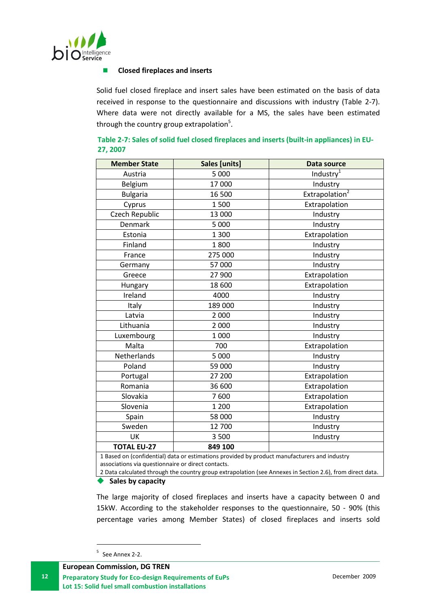

### **Closed fireplaces and inserts**

Solid fuel closed fireplace and insert sales have been estimated on the basis of data received in response to the questionnaire and discussions with industry (Table 2-7). Where data were not directly available for a MS, the sales have been estimated through the country group extrapolation<sup>5</sup>.

| <b>Member State</b> | <b>Sales</b> [units] | Data source                |
|---------------------|----------------------|----------------------------|
| Austria             | 5 0 0 0              | Industry <sup>1</sup>      |
| Belgium             | 17 000               | Industry                   |
| <b>Bulgaria</b>     | 16 500               | Extrapolation <sup>2</sup> |
| Cyprus              | 1500                 | Extrapolation              |
| Czech Republic      | 13 000               | Industry                   |
| Denmark             | 5 0 0 0              | Industry                   |
| Estonia             | 1 300                | Extrapolation              |
| Finland             | 1800                 | Industry                   |
| France              | 275 000              | Industry                   |
| Germany             | 57 000               | Industry                   |
| Greece              | 27 900               | Extrapolation              |
| Hungary             | 18 600               | Extrapolation              |
| Ireland             | 4000                 | Industry                   |
| Italy               | 189 000              | Industry                   |
| Latvia              | 2 000                | Industry                   |
| Lithuania           | 2 000                | Industry                   |
| Luxembourg          | 1 000                | Industry                   |
| Malta               | 700                  | Extrapolation              |
| Netherlands         | 5 0 0 0              | Industry                   |
| Poland              | 59 000               | Industry                   |
| Portugal            | 27 200               | Extrapolation              |
| Romania             | 36 600               | Extrapolation              |
| Slovakia            | 7600                 | Extrapolation              |
| Slovenia            | 1 200                | Extrapolation              |
| Spain               | 58 000               | Industry                   |
| Sweden              | 12 700               | Industry                   |
| UK                  | 3 500                | Industry                   |
| <b>TOTAL EU-27</b>  | 849 100              |                            |

### **Table 2-7: Sales of solid fuel closed fireplaces and inserts (built-in appliances) in EU-27, 2007**

1 Based on (confidential) data or estimations provided by product manufacturers and industry associations via questionnaire or direct contacts.

2 Data calculated through the country group extrapolation (see Annexes in Section 2.6), from direct data.

### **Sales by capacity**

The large majority of closed fireplaces and inserts have a capacity between 0 and 15kW. According to the stakeholder responses to the questionnaire, 50 - 90% (this percentage varies among Member States) of closed fireplaces and inserts sold

 $5$  See Annex 2-2.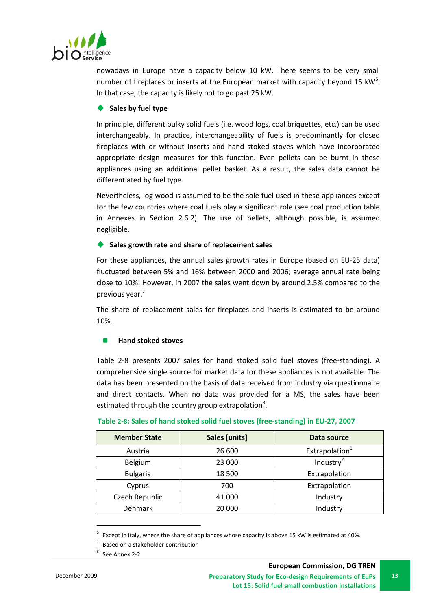

nowadays in Europe have a capacity below 10 kW. There seems to be very small number of fireplaces or inserts at the European market with capacity beyond 15  $kW^6$ . In that case, the capacity is likely not to go past 25 kW.

### **Sales by fuel type**

In principle, different bulky solid fuels (i.e. wood logs, coal briquettes, etc.) can be used interchangeably. In practice, interchangeability of fuels is predominantly for closed fireplaces with or without inserts and hand stoked stoves which have incorporated appropriate design measures for this function. Even pellets can be burnt in these appliances using an additional pellet basket. As a result, the sales data cannot be differentiated by fuel type.

Nevertheless, log wood is assumed to be the sole fuel used in these appliances except for the few countries where coal fuels play a significant role (see coal production table in Annexes in Section 2.6.2). The use of pellets, although possible, is assumed negligible.

### **Sales growth rate and share of replacement sales**

For these appliances, the annual sales growth rates in Europe (based on EU-25 data) fluctuated between 5% and 16% between 2000 and 2006; average annual rate being close to 10%. However, in 2007 the sales went down by around 2.5% compared to the previous year. $<sup>7</sup>$ </sup>

The share of replacement sales for fireplaces and inserts is estimated to be around 10%.

### **Hand stoked stoves**

Table 2-8 presents 2007 sales for hand stoked solid fuel stoves (free-standing). A comprehensive single source for market data for these appliances is not available. The data has been presented on the basis of data received from industry via questionnaire and direct contacts. When no data was provided for a MS, the sales have been estimated through the country group extrapolation<sup>8</sup>.

| <b>Member State</b> | Sales [units] | Data source                |
|---------------------|---------------|----------------------------|
| Austria             | 26 600        | Extrapolation <sup>1</sup> |
| Belgium             | 23 000        | Industry $2$               |
| <b>Bulgaria</b>     | 18 500        | Extrapolation              |
| Cyprus              | 700           | Extrapolation              |
| Czech Republic      | 41 000        | Industry                   |
| <b>Denmark</b>      | 20 000        | Industry                   |

### **Table 2-8: Sales of hand stoked solid fuel stoves (free-standing) in EU-27, 2007**

<sup>6</sup> Except in Italy, where the share of appliances whose capacity is above 15 kW is estimated at 40%.

<sup>7</sup> Based on a stakeholder contribution

<sup>&</sup>lt;sup>8</sup> See Annex 2-2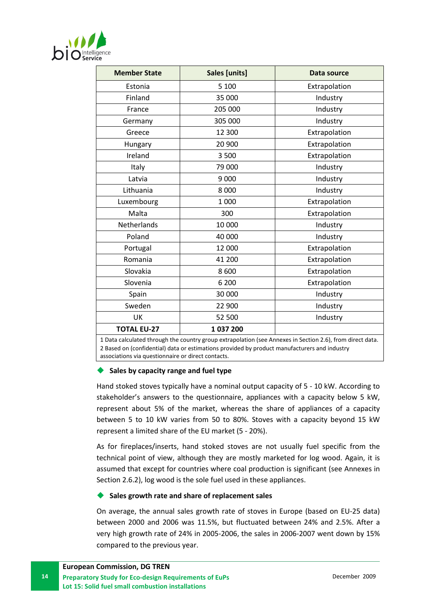

| <b>Member State</b> | Sales [units] | Data source   |
|---------------------|---------------|---------------|
| Estonia             | 5 100         | Extrapolation |
| Finland             | 35 000        | Industry      |
| France              | 205 000       | Industry      |
| Germany             | 305 000       | Industry      |
| Greece              | 12 300        | Extrapolation |
| Hungary             | 20 900        | Extrapolation |
| Ireland             | 3 500         | Extrapolation |
| Italy               | 79 000        | Industry      |
| Latvia              | 9 0 0 0       | Industry      |
| Lithuania           | 8 0 0 0       | Industry      |
| Luxembourg          | 1 0 0 0       | Extrapolation |
| Malta               | 300           | Extrapolation |
| Netherlands         | 10 000        | Industry      |
| Poland              | 40 000        | Industry      |
| Portugal            | 12 000        | Extrapolation |
| Romania             | 41 200        | Extrapolation |
| Slovakia            | 8600          | Extrapolation |
| Slovenia            | 6 200         | Extrapolation |
| Spain               | 30 000        | Industry      |
| Sweden              | 22 900        | Industry      |
| UK                  | 52 500        | Industry      |
| <b>TOTAL EU-27</b>  | 1 037 200     |               |

1 Data calculated through the country group extrapolation (see Annexes in Section 2.6), from direct data. 2 Based on (confidential) data or estimations provided by product manufacturers and industry associations via questionnaire or direct contacts.

### **◆ Sales by capacity range and fuel type**

Hand stoked stoves typically have a nominal output capacity of 5 - 10 kW. According to stakeholder's answers to the questionnaire, appliances with a capacity below 5 kW, represent about 5% of the market, whereas the share of appliances of a capacity between 5 to 10 kW varies from 50 to 80%. Stoves with a capacity beyond 15 kW represent a limited share of the EU market (5 - 20%).

As for fireplaces/inserts, hand stoked stoves are not usually fuel specific from the technical point of view, although they are mostly marketed for log wood. Again, it is assumed that except for countries where coal production is significant (see Annexes in Section 2.6.2), log wood is the sole fuel used in these appliances.

### **Sales growth rate and share of replacement sales**

On average, the annual sales growth rate of stoves in Europe (based on EU-25 data) between 2000 and 2006 was 11.5%, but fluctuated between 24% and 2.5%. After a very high growth rate of 24% in 2005-2006, the sales in 2006-2007 went down by 15% compared to the previous year.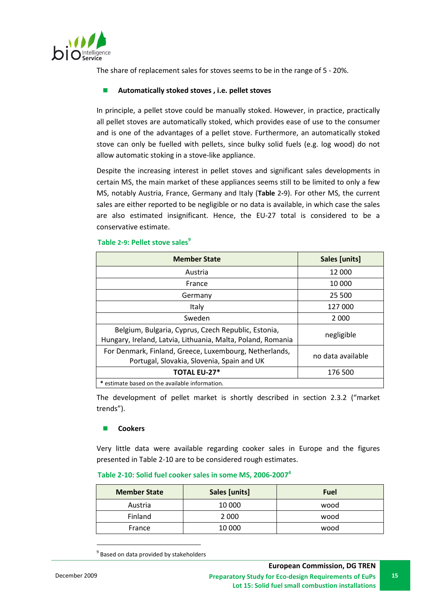

The share of replacement sales for stoves seems to be in the range of 5 - 20%.

### **Automatically stoked stoves , i.e. pellet stoves**

In principle, a pellet stove could be manually stoked. However, in practice, practically all pellet stoves are automatically stoked, which provides ease of use to the consumer and is one of the advantages of a pellet stove. Furthermore, an automatically stoked stove can only be fuelled with pellets, since bulky solid fuels (e.g. log wood) do not allow automatic stoking in a stove-like appliance.

Despite the increasing interest in pellet stoves and significant sales developments in certain MS, the main market of these appliances seems still to be limited to only a few MS, notably Austria, France, Germany and Italy (**Table** 2**-**9). For other MS, the current sales are either reported to be negligible or no data is available, in which case the sales are also estimated insignificant. Hence, the EU-27 total is considered to be a conservative estimate.

### **Table 2-9: Pellet stove sales**<sup>9</sup>

| <b>Member State</b>                                                                                                | Sales [units]     |
|--------------------------------------------------------------------------------------------------------------------|-------------------|
| Austria                                                                                                            | 12 000            |
| France                                                                                                             | 10 000            |
| Germany                                                                                                            | 25 500            |
| Italy                                                                                                              | 127 000           |
| Sweden                                                                                                             | 2 000             |
| Belgium, Bulgaria, Cyprus, Czech Republic, Estonia,<br>Hungary, Ireland, Latvia, Lithuania, Malta, Poland, Romania | negligible        |
| For Denmark, Finland, Greece, Luxembourg, Netherlands,<br>Portugal, Slovakia, Slovenia, Spain and UK               | no data available |
| TOTAL EU-27*                                                                                                       | 176 500           |
| * estimate based on the available information.                                                                     |                   |

The development of pellet market is shortly described in section 2.3.2 ("market trends").

### **Cookers**

Very little data were available regarding cooker sales in Europe and the figures presented in Table 2-10 are to be considered rough estimates.

### **Table 2-10: Solid fuel cooker sales in some MS, 2006-2007<sup>4</sup>**

| <b>Member State</b> | Sales [units] | <b>Fuel</b> |
|---------------------|---------------|-------------|
| Austria             | 10 000        | wood        |
| Finland             | 2 0 0 0       | wood        |
| France              | 10 000        | wood        |

<sup>&</sup>lt;sup>9</sup> Based on data provided by stakeholders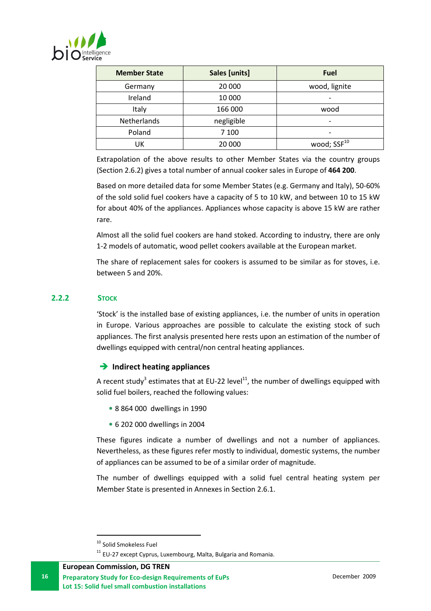

| <b>Member State</b> | Sales [units] | <b>Fuel</b>              |
|---------------------|---------------|--------------------------|
| Germany             | 20 000        | wood, lignite            |
| Ireland             | 10 000        |                          |
| Italy               | 166 000       | wood                     |
| Netherlands         | negligible    | $\overline{\phantom{0}}$ |
| Poland              | 7 100         |                          |
| UK                  | 20 000        | wood; SSF <sup>10</sup>  |

Extrapolation of the above results to other Member States via the country groups (Section 2.6.2) gives a total number of annual cooker sales in Europe of **464 200**.

Based on more detailed data for some Member States (e.g. Germany and Italy), 50-60% of the sold solid fuel cookers have a capacity of 5 to 10 kW, and between 10 to 15 kW for about 40% of the appliances. Appliances whose capacity is above 15 kW are rather rare.

Almost all the solid fuel cookers are hand stoked. According to industry, there are only 1-2 models of automatic, wood pellet cookers available at the European market.

The share of replacement sales for cookers is assumed to be similar as for stoves, i.e. between 5 and 20%.

### **2.2.2 STOCK**

'Stock' is the installed base of existing appliances, i.e. the number of units in operation in Europe. Various approaches are possible to calculate the existing stock of such appliances. The first analysis presented here rests upon an estimation of the number of dwellings equipped with central/non central heating appliances.

# - **Indirect heating appliances**

A recent study<sup>3</sup> estimates that at EU-22 level<sup>11</sup>, the number of dwellings equipped with solid fuel boilers, reached the following values:

- 8 864 000 dwellings in 1990
- 6 202 000 dwellings in 2004

These figures indicate a number of dwellings and not a number of appliances. Nevertheless, as these figures refer mostly to individual, domestic systems, the number of appliances can be assumed to be of a similar order of magnitude.

The number of dwellings equipped with a solid fuel central heating system per Member State is presented in Annexes in Section 2.6.1.

<sup>&</sup>lt;sup>10</sup> Solid Smokeless Fuel

 $^{11}$  EU-27 except Cyprus, Luxembourg, Malta, Bulgaria and Romania.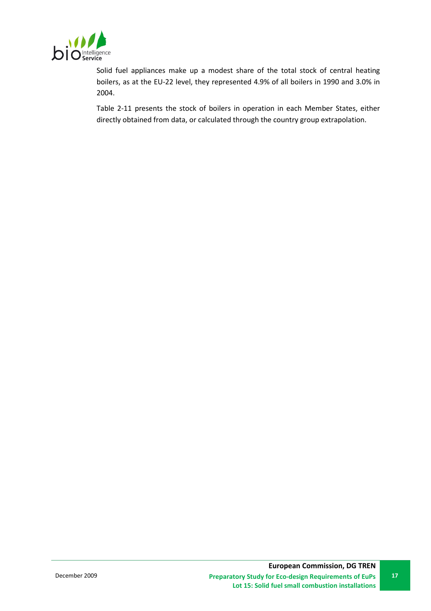

Solid fuel appliances make up a modest share of the total stock of central heating boilers, as at the EU-22 level, they represented 4.9% of all boilers in 1990 and 3.0% in 2004.

Table 2-11 presents the stock of boilers in operation in each Member States, either directly obtained from data, or calculated through the country group extrapolation.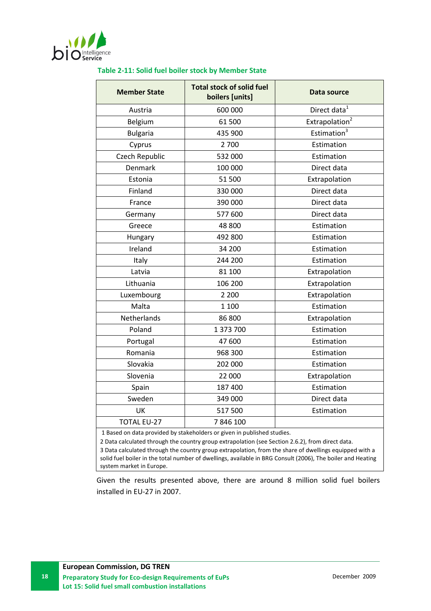

| <b>Member State</b> | <b>Total stock of solid fuel</b><br>boilers [units] | Data source                |
|---------------------|-----------------------------------------------------|----------------------------|
| Austria             | 600 000                                             | Direct data <sup>1</sup>   |
| Belgium             | 61 500                                              | Extrapolation <sup>2</sup> |
| <b>Bulgaria</b>     | 435 900                                             | Estimation <sup>3</sup>    |
| Cyprus              | 2 700                                               | Estimation                 |
| Czech Republic      | 532 000                                             | Estimation                 |
| <b>Denmark</b>      | 100 000                                             | Direct data                |
| Estonia             | 51 500                                              | Extrapolation              |
| Finland             | 330 000                                             | Direct data                |
| France              | 390 000                                             | Direct data                |
| Germany             | 577 600                                             | Direct data                |
| Greece              | 48 800                                              | Estimation                 |
| Hungary             | 492 800                                             | Estimation                 |
| Ireland             | 34 200                                              | Estimation                 |
| Italy               | 244 200                                             | Estimation                 |
| Latvia              | 81 100                                              | Extrapolation              |
| Lithuania           | 106 200                                             | Extrapolation              |
| Luxembourg          | 2 2 0 0                                             | Extrapolation              |
| Malta               | 1 100                                               | Estimation                 |
| Netherlands         | 86 800                                              | Extrapolation              |
| Poland              | 1 373 700                                           | Estimation                 |
| Portugal            | 47 600                                              | Estimation                 |
| Romania             | 968 300                                             | Estimation                 |
| Slovakia            | 202 000                                             | Estimation                 |
| Slovenia            | 22 000                                              | Extrapolation              |
| Spain               | 187 400                                             | Estimation                 |
| Sweden              | 349 000                                             | Direct data                |
| UK                  | 517 500                                             | Estimation                 |
| <b>TOTAL EU-27</b>  | 7846100                                             |                            |

### **Table 2-11: Solid fuel boiler stock by Member State**

1 Based on data provided by stakeholders or given in published studies.

2 Data calculated through the country group extrapolation (see Section 2.6.2), from direct data. 3 Data calculated through the country group extrapolation, from the share of dwellings equipped with a solid fuel boiler in the total number of dwellings, available in BRG Consult (2006), The boiler and Heating system market in Europe.

Given the results presented above, there are around 8 million solid fuel boilers installed in EU-27 in 2007.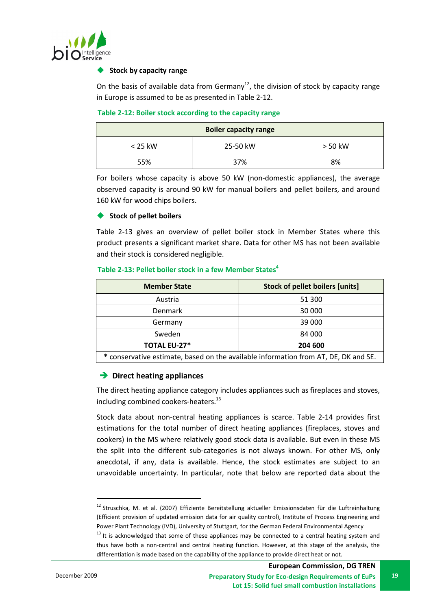

### **◆ Stock by capacity range**

On the basis of available data from Germany<sup>12</sup>, the division of stock by capacity range in Europe is assumed to be as presented in Table 2-12.

### **Table 2-12: Boiler stock according to the capacity range**

| <b>Boiler capacity range</b> |         |    |  |
|------------------------------|---------|----|--|
| $< 25$ kW                    | > 50 kW |    |  |
| 55%                          | 37%     | 8% |  |

For boilers whose capacity is above 50 kW (non-domestic appliances), the average observed capacity is around 90 kW for manual boilers and pellet boilers, and around 160 kW for wood chips boilers.

### **Stock of pellet boilers**

Table 2-13 gives an overview of pellet boiler stock in Member States where this product presents a significant market share. Data for other MS has not been available and their stock is considered negligible.

### **Table 2-13: Pellet boiler stock in a few Member States<sup>4</sup>**

| <b>Member State</b> | <b>Stock of pellet boilers [units]</b> |  |  |
|---------------------|----------------------------------------|--|--|
| Austria             | 51 300                                 |  |  |
| <b>Denmark</b>      | 30 000                                 |  |  |
| Germany             | 39 000                                 |  |  |
| Sweden              | 84 000                                 |  |  |
| <b>TOTAL EU-27*</b> | 204 600                                |  |  |
| $\mathbf{a}$        | .                                      |  |  |

**\*** conservative estimate, based on the available information from AT, DE, DK and SE.

# - **Direct heating appliances**

The direct heating appliance category includes appliances such as fireplaces and stoves, including combined cookers-heaters.<sup>13</sup>

Stock data about non-central heating appliances is scarce. Table 2-14 provides first estimations for the total number of direct heating appliances (fireplaces, stoves and cookers) in the MS where relatively good stock data is available. But even in these MS the split into the different sub-categories is not always known. For other MS, only anecdotal, if any, data is available. Hence, the stock estimates are subject to an unavoidable uncertainty. In particular, note that below are reported data about the

<sup>&</sup>lt;sup>12</sup> Struschka, M. et al. (2007) Effiziente Bereitstellung aktueller Emissionsdaten für die Luftreinhaltung (Efficient provision of updated emission data for air quality control), Institute of Process Engineering and Power Plant Technology (IVD), University of Stuttgart, for the German Federal Environmental Agency

 $13$  It is acknowledged that some of these appliances may be connected to a central heating system and thus have both a non-central and central heating function. However, at this stage of the analysis, the differentiation is made based on the capability of the appliance to provide direct heat or not.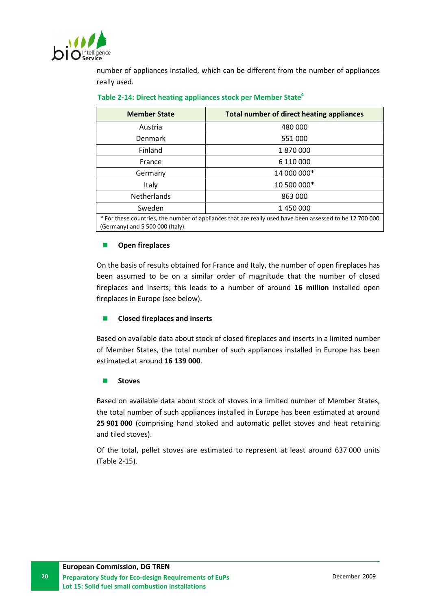

number of appliances installed, which can be different from the number of appliances really used.

| <b>Member State</b>                                                                                      | <b>Total number of direct heating appliances</b> |  |
|----------------------------------------------------------------------------------------------------------|--------------------------------------------------|--|
| Austria                                                                                                  | 480 000                                          |  |
| <b>Denmark</b>                                                                                           | 551 000                                          |  |
| Finland                                                                                                  | 1870000                                          |  |
| France                                                                                                   | 6 110 000                                        |  |
| Germany                                                                                                  | 14 000 000*                                      |  |
| Italy                                                                                                    | 10 500 000*                                      |  |
| <b>Netherlands</b>                                                                                       | 863 000                                          |  |
| Sweden                                                                                                   | 1 450 000                                        |  |
| * For these countries, the number of appliances that are really used have been assessed to be 12 700 000 |                                                  |  |

### **Table 2-14: Direct heating appliances stock per Member State<sup>4</sup>**

\* For these countries, the number of appliances that are really used have been assessed to be 12 700 000 (Germany) and 5 500 000 (Italy).

### $D$  Open fireplaces

On the basis of results obtained for France and Italy, the number of open fireplaces has been assumed to be on a similar order of magnitude that the number of closed fireplaces and inserts; this leads to a number of around **16 million** installed open fireplaces in Europe (see below).

### **Closed fireplaces and inserts**

Based on available data about stock of closed fireplaces and inserts in a limited number of Member States, the total number of such appliances installed in Europe has been estimated at around **16 139 000**.

### **Stoves**

Based on available data about stock of stoves in a limited number of Member States, the total number of such appliances installed in Europe has been estimated at around **25 901 000** (comprising hand stoked and automatic pellet stoves and heat retaining and tiled stoves).

Of the total, pellet stoves are estimated to represent at least around 637 000 units (Table 2-15).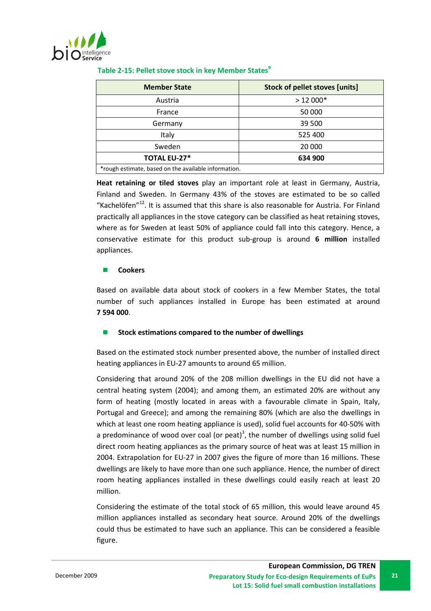

| <b>Member State</b>                                  | <b>Stock of pellet stoves [units]</b> |
|------------------------------------------------------|---------------------------------------|
| Austria                                              | $>12000*$                             |
| France                                               | 50 000                                |
| Germany                                              | 39 500                                |
| Italy                                                | 525 400                               |
| Sweden                                               | 20 000                                |
| <b>TOTAL EU-27*</b>                                  | 634 900                               |
| *rough estimate, based on the available information. |                                       |

### **Table 2-15: Pellet stove stock in key Member States<sup>9</sup>**

**Heat retaining or tiled stoves** play an important role at least in Germany, Austria, Finland and Sweden. In Germany 43% of the stoves are estimated to be so called "Kachelöfen" $^{12}$ . It is assumed that this share is also reasonable for Austria. For Finland practically all appliances in the stove category can be classified as heat retaining stoves, where as for Sweden at least 50% of appliance could fall into this category. Hence, a conservative estimate for this product sub-group is around **6 million** installed appliances.

### **Cookers**

Based on available data about stock of cookers in a few Member States, the total number of such appliances installed in Europe has been estimated at around **7 594 000**.

### **Stock estimations compared to the number of dwellings**

Based on the estimated stock number presented above, the number of installed direct heating appliances in EU-27 amounts to around 65 million.

Considering that around 20% of the 208 million dwellings in the EU did not have a central heating system (2004); and among them, an estimated 20% are without any form of heating (mostly located in areas with a favourable climate in Spain, Italy, Portugal and Greece); and among the remaining 80% (which are also the dwellings in which at least one room heating appliance is used), solid fuel accounts for 40-50% with a predominance of wood over coal (or peat)<sup>3</sup>, the number of dwellings using solid fuel direct room heating appliances as the primary source of heat was at least 15 million in 2004. Extrapolation for EU-27 in 2007 gives the figure of more than 16 millions. These dwellings are likely to have more than one such appliance. Hence, the number of direct room heating appliances installed in these dwellings could easily reach at least 20 million.

Considering the estimate of the total stock of 65 million, this would leave around 45 million appliances installed as secondary heat source. Around 20% of the dwellings could thus be estimated to have such an appliance. This can be considered a feasible figure.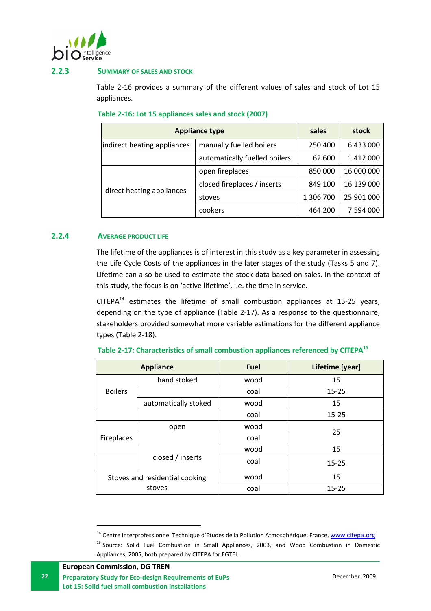

### **2.2.3 SUMMARY OF SALES AND STOCK**

Table 2-16 provides a summary of the different values of sales and stock of Lot 15 appliances.

| <b>Appliance type</b>       |                               | sales     | stock         |
|-----------------------------|-------------------------------|-----------|---------------|
| indirect heating appliances | manually fuelled boilers      | 250 400   | 6433000       |
|                             | automatically fuelled boilers | 62 600    | 1 4 1 2 0 0 0 |
| direct heating appliances   | open fireplaces               | 850 000   | 16 000 000    |
|                             | closed fireplaces / inserts   | 849 100   | 16 139 000    |
|                             | stoves                        | 1 306 700 | 25 901 000    |
|                             | cookers                       | 464 200   | 7 594 000     |

### **Table 2-16: Lot 15 appliances sales and stock (2007)**

### **2.2.4 AVERAGE PRODUCT LIFE**

The lifetime of the appliances is of interest in this study as a key parameter in assessing the Life Cycle Costs of the appliances in the later stages of the study (Tasks 5 and 7). Lifetime can also be used to estimate the stock data based on sales. In the context of this study, the focus is on 'active lifetime', i.e. the time in service.

 $CITERA<sup>14</sup>$  estimates the lifetime of small combustion appliances at 15-25 years, depending on the type of appliance (Table 2-17). As a response to the questionnaire, stakeholders provided somewhat more variable estimations for the different appliance types (Table 2-18).

|                                          | <b>Appliance</b>     | <b>Fuel</b> | Lifetime [year] |  |
|------------------------------------------|----------------------|-------------|-----------------|--|
|                                          | hand stoked          | wood        | 15              |  |
| <b>Boilers</b>                           |                      | coal        | $15 - 25$       |  |
|                                          | automatically stoked | wood        | 15              |  |
|                                          |                      | coal        | $15 - 25$       |  |
| Fireplaces                               | open                 | wood        | 25              |  |
|                                          |                      | coal        |                 |  |
|                                          |                      | wood        | 15              |  |
|                                          | closed / inserts     | coal        | $15 - 25$       |  |
| Stoves and residential cooking<br>stoves |                      | wood        | 15              |  |
|                                          |                      | coal        | $15 - 25$       |  |

| Table 2-17: Characteristics of small combustion appliances referenced by CITEPA <sup>15</sup> |  |  |  |
|-----------------------------------------------------------------------------------------------|--|--|--|
|                                                                                               |  |  |  |

<sup>&</sup>lt;sup>14</sup> Centre Interprofessionnel Technique d'Etudes de la Pollution Atmosphérique, France, **www.citepa.org** <sup>15</sup> Source: Solid Fuel Combustion in Small Appliances, 2003, and Wood Combustion in Domestic Appliances, 2005, both prepared by CITEPA for EGTEI.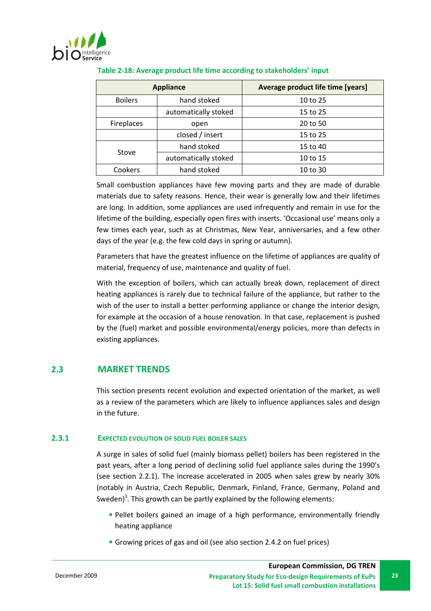

| <b>Appliance</b>   |                      | Average product life time [years] |  |
|--------------------|----------------------|-----------------------------------|--|
| <b>Boilers</b>     | hand stoked          | 10 to 25                          |  |
|                    | automatically stoked | 15 to 25                          |  |
| Fireplaces<br>open |                      | 20 to 50                          |  |
|                    | closed / insert      | 15 to 25                          |  |
| Stove              | hand stoked          | 15 to 40                          |  |
|                    | automatically stoked | 10 to 15                          |  |
| Cookers            | hand stoked          | 10 to 30                          |  |

### **Table 2-18: Average product life time according to stakeholders' input**

Small combustion appliances have few moving parts and they are made of durable materials due to safety reasons. Hence, their wear is generally low and their lifetimes are long. In addition, some appliances are used infrequently and remain in use for the lifetime of the building, especially open fires with inserts. 'Occasional use' means only a few times each year, such as at Christmas, New Year, anniversaries, and a few other days of the year (e.g. the few cold days in spring or autumn).

Parameters that have the greatest influence on the lifetime of appliances are quality of material, frequency of use, maintenance and quality of fuel.

With the exception of boilers, which can actually break down, replacement of direct heating appliances is rarely due to technical failure of the appliance, but rather to the wish of the user to install a better performing appliance or change the interior design, for example at the occasion of a house renovation. In that case, replacement is pushed by the (fuel) market and possible environmental/energy policies, more than defects in existing appliances.

# **2.3 MARKET TRENDS**

This section presents recent evolution and expected orientation of the market, as well as a review of the parameters which are likely to influence appliances sales and design in the future.

### **2.3.1 EXPECTED EVOLUTION OF SOLID FUEL BOILER SALES**

A surge in sales of solid fuel (mainly biomass pellet) boilers has been registered in the past years, after a long period of declining solid fuel appliance sales during the 1990's (see section 2.2.1). The increase accelerated in 2005 when sales grew by nearly 30% (notably in Austria, Czech Republic, Denmark, Finland, France, Germany, Poland and Sweden)<sup>3</sup>. This growth can be partly explained by the following elements:

- Pellet boilers gained an image of a high performance, environmentally friendly heating appliance
- Growing prices of gas and oil (see also section 2.4.2 on fuel prices)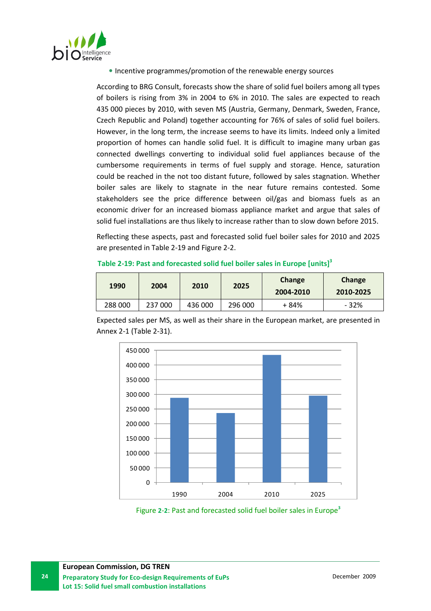

### • Incentive programmes/promotion of the renewable energy sources

According to BRG Consult, forecasts show the share of solid fuel boilers among all types of boilers is rising from 3% in 2004 to 6% in 2010. The sales are expected to reach 435 000 pieces by 2010, with seven MS (Austria, Germany, Denmark, Sweden, France, Czech Republic and Poland) together accounting for 76% of sales of solid fuel boilers. However, in the long term, the increase seems to have its limits. Indeed only a limited proportion of homes can handle solid fuel. It is difficult to imagine many urban gas connected dwellings converting to individual solid fuel appliances because of the cumbersome requirements in terms of fuel supply and storage. Hence, saturation could be reached in the not too distant future, followed by sales stagnation. Whether boiler sales are likely to stagnate in the near future remains contested. Some stakeholders see the price difference between oil/gas and biomass fuels as an economic driver for an increased biomass appliance market and argue that sales of solid fuel installations are thus likely to increase rather than to slow down before 2015.

Reflecting these aspects, past and forecasted solid fuel boiler sales for 2010 and 2025 are presented in Table 2-19 and Figure 2-2.

| Table 2-19: Past and forecasted solid fuel boiler sales in Europe [units] <sup>3</sup> |  |
|----------------------------------------------------------------------------------------|--|
|----------------------------------------------------------------------------------------|--|

| 1990    | 2004    | 2010    | 2025    | Change<br>2004-2010 | Change<br>2010-2025 |
|---------|---------|---------|---------|---------------------|---------------------|
| 288 000 | 237 000 | 436 000 | 296 000 | + 84%               | $-32%$              |

Expected sales per MS, as well as their share in the European market, are presented in Annex 2-1 (Table 2-31).



Figure **2**-**2**: Past and forecasted solid fuel boiler sales in Europe**<sup>3</sup>**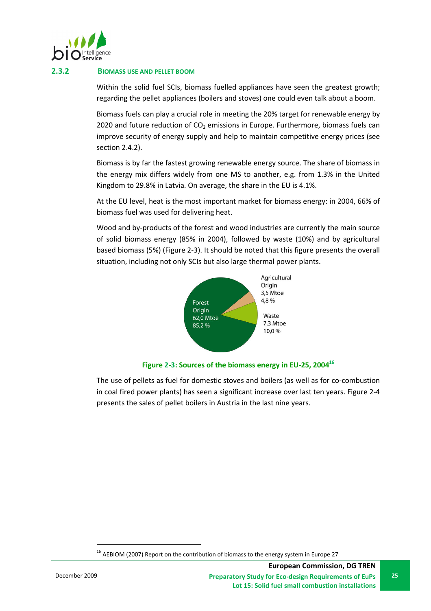

### **2.3.2 BIOMASS USE AND PELLET BOOM**

Within the solid fuel SCIs, biomass fuelled appliances have seen the greatest growth; regarding the pellet appliances (boilers and stoves) one could even talk about a boom.

Biomass fuels can play a crucial role in meeting the 20% target for renewable energy by 2020 and future reduction of  $CO<sub>2</sub>$  emissions in Europe. Furthermore, biomass fuels can improve security of energy supply and help to maintain competitive energy prices (see section 2.4.2).

Biomass is by far the fastest growing renewable energy source. The share of biomass in the energy mix differs widely from one MS to another, e.g. from 1.3% in the United Kingdom to 29.8% in Latvia. On average, the share in the EU is 4.1%.

At the EU level, heat is the most important market for biomass energy: in 2004, 66% of biomass fuel was used for delivering heat.

Wood and by-products of the forest and wood industries are currently the main source of solid biomass energy (85% in 2004), followed by waste (10%) and by agricultural based biomass (5%) (Figure 2-3). It should be noted that this figure presents the overall situation, including not only SCIs but also large thermal power plants.



**Figure 2-3: Sources of the biomass energy in EU-25, 2004<sup>16</sup>**

The use of pellets as fuel for domestic stoves and boilers (as well as for co-combustion in coal fired power plants) has seen a significant increase over last ten years. Figure 2-4 presents the sales of pellet boilers in Austria in the last nine years.

 $16$  AEBIOM (2007) Report on the contribution of biomass to the energy system in Europe 27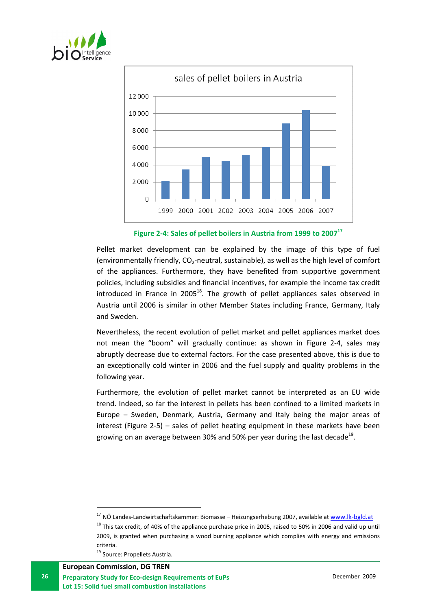



**Figure 2-4: Sales of pellet boilers in Austria from 1999 to 2007<sup>17</sup>**

Pellet market development can be explained by the image of this type of fuel (environmentally friendly,  $CO<sub>2</sub>$ -neutral, sustainable), as well as the high level of comfort of the appliances. Furthermore, they have benefited from supportive government policies, including subsidies and financial incentives, for example the income tax credit introduced in France in  $2005^{18}$ . The growth of pellet appliances sales observed in Austria until 2006 is similar in other Member States including France, Germany, Italy and Sweden.

Nevertheless, the recent evolution of pellet market and pellet appliances market does not mean the "boom" will gradually continue: as shown in Figure 2-4, sales may abruptly decrease due to external factors. For the case presented above, this is due to an exceptionally cold winter in 2006 and the fuel supply and quality problems in the following year.

Furthermore, the evolution of pellet market cannot be interpreted as an EU wide trend. Indeed, so far the interest in pellets has been confined to a limited markets in Europe – Sweden, Denmark, Austria, Germany and Italy being the major areas of interest (Figure 2-5) – sales of pellet heating equipment in these markets have been growing on an average between 30% and 50% per year during the last decade<sup>19</sup>.

**26**

<sup>&</sup>lt;sup>17</sup> NÖ Landes-Landwirtschaftskammer: Biomasse – Heizungserhebung 2007, available at www.lk-bgld.at

 $18$  This tax credit, of 40% of the appliance purchase price in 2005, raised to 50% in 2006 and valid up until 2009, is granted when purchasing a wood burning appliance which complies with energy and emissions criteria.

<sup>&</sup>lt;sup>19</sup> Source: Propellets Austria.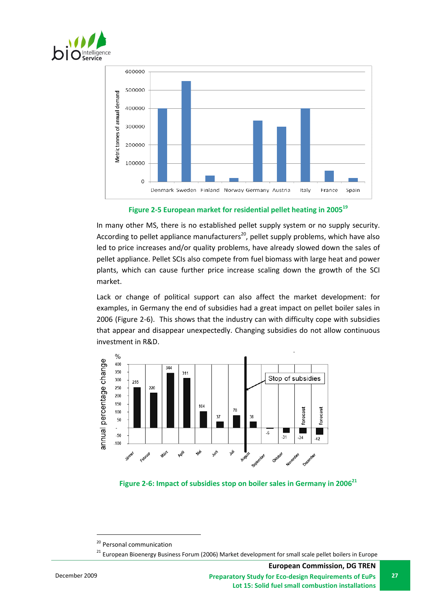



**Figure 2-5 European market for residential pellet heating in 2005<sup>19</sup>**

In many other MS, there is no established pellet supply system or no supply security. According to pellet appliance manufacturers<sup>20</sup>, pellet supply problems, which have also led to price increases and/or quality problems, have already slowed down the sales of pellet appliance. Pellet SCIs also compete from fuel biomass with large heat and power plants, which can cause further price increase scaling down the growth of the SCI market.

Lack or change of political support can also affect the market development: for examples, in Germany the end of subsidies had a great impact on pellet boiler sales in 2006 (Figure 2-6). This shows that the industry can with difficulty cope with subsidies that appear and disappear unexpectedly. Changing subsidies do not allow continuous investment in R&D.



**Figure 2-6: Impact of subsidies stop on boiler sales in Germany in 2006<sup>21</sup>**

<sup>&</sup>lt;sup>20</sup> Personal communication

<sup>&</sup>lt;sup>21</sup> European Bioenergy Business Forum (2006) Market development for small scale pellet boilers in Europe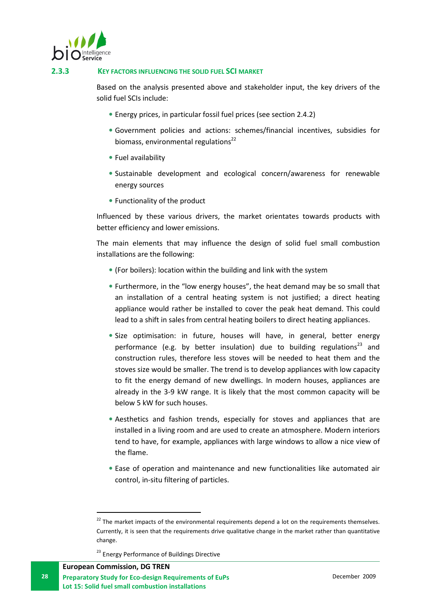

### **2.3.3 KEY FACTORS INFLUENCING THE SOLID FUEL SCI MARKET**

Based on the analysis presented above and stakeholder input, the key drivers of the solid fuel SCIs include:

- Energy prices, in particular fossil fuel prices (see section 2.4.2)
- Government policies and actions: schemes/financial incentives, subsidies for biomass, environmental regulations<sup>22</sup>
- Fuel availability
- Sustainable development and ecological concern/awareness for renewable energy sources
- Functionality of the product

Influenced by these various drivers, the market orientates towards products with better efficiency and lower emissions.

The main elements that may influence the design of solid fuel small combustion installations are the following:

- (For boilers): location within the building and link with the system
- Furthermore, in the "low energy houses", the heat demand may be so small that an installation of a central heating system is not justified; a direct heating appliance would rather be installed to cover the peak heat demand. This could lead to a shift in sales from central heating boilers to direct heating appliances.
- Size optimisation: in future, houses will have, in general, better energy performance (e.g. by better insulation) due to building regulations<sup>23</sup> and construction rules, therefore less stoves will be needed to heat them and the stoves size would be smaller. The trend is to develop appliances with low capacity to fit the energy demand of new dwellings. In modern houses, appliances are already in the 3-9 kW range. It is likely that the most common capacity will be below 5 kW for such houses.
- Aesthetics and fashion trends, especially for stoves and appliances that are installed in a living room and are used to create an atmosphere. Modern interiors tend to have, for example, appliances with large windows to allow a nice view of the flame.
- Ease of operation and maintenance and new functionalities like automated air control, in-situ filtering of particles.

 $22$  The market impacts of the environmental requirements depend a lot on the requirements themselves. Currently, it is seen that the requirements drive qualitative change in the market rather than quantitative change.

<sup>&</sup>lt;sup>23</sup> Energy Performance of Buildings Directive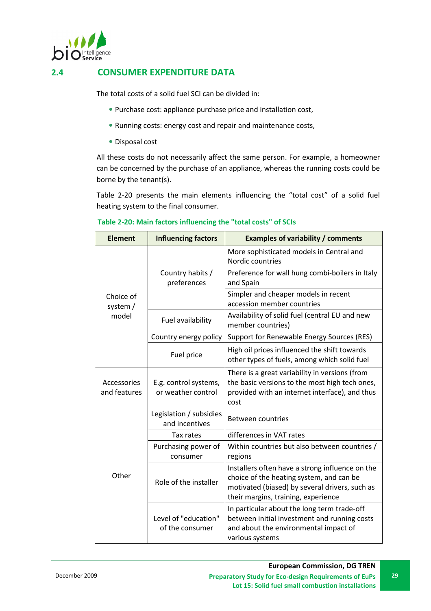

# **2.4 CONSUMER EXPENDITURE DATA**

The total costs of a solid fuel SCI can be divided in:

- Purchase cost: appliance purchase price and installation cost,
- Running costs: energy cost and repair and maintenance costs,
- Disposal cost

All these costs do not necessarily affect the same person. For example, a homeowner can be concerned by the purchase of an appliance, whereas the running costs could be borne by the tenant(s).

Table 2-20 presents the main elements influencing the "total cost" of a solid fuel heating system to the final consumer.

| <b>Element</b>              | <b>Influencing factors</b>                  | <b>Examples of variability / comments</b>                                                                                                                                            |  |
|-----------------------------|---------------------------------------------|--------------------------------------------------------------------------------------------------------------------------------------------------------------------------------------|--|
|                             |                                             | More sophisticated models in Central and<br>Nordic countries                                                                                                                         |  |
|                             | Country habits /<br>preferences             | Preference for wall hung combi-boilers in Italy<br>and Spain                                                                                                                         |  |
| Choice of<br>system /       |                                             | Simpler and cheaper models in recent<br>accession member countries                                                                                                                   |  |
| model                       | Fuel availability                           | Availability of solid fuel (central EU and new<br>member countries)                                                                                                                  |  |
|                             | Country energy policy                       | Support for Renewable Energy Sources (RES)                                                                                                                                           |  |
|                             | Fuel price                                  | High oil prices influenced the shift towards<br>other types of fuels, among which solid fuel                                                                                         |  |
| Accessories<br>and features | E.g. control systems,<br>or weather control | There is a great variability in versions (from<br>the basic versions to the most high tech ones,<br>provided with an internet interface), and thus<br>cost                           |  |
|                             | Legislation / subsidies<br>and incentives   | Between countries                                                                                                                                                                    |  |
|                             | Tax rates                                   | differences in VAT rates                                                                                                                                                             |  |
|                             | Purchasing power of<br>consumer             | Within countries but also between countries /<br>regions                                                                                                                             |  |
| Other                       | Role of the installer                       | Installers often have a strong influence on the<br>choice of the heating system, and can be<br>motivated (biased) by several drivers, such as<br>their margins, training, experience |  |
|                             | Level of "education"<br>of the consumer     | In particular about the long term trade-off<br>between initial investment and running costs<br>and about the environmental impact of<br>various systems                              |  |

### **Table 2-20: Main factors influencing the "total costs" of SCIs**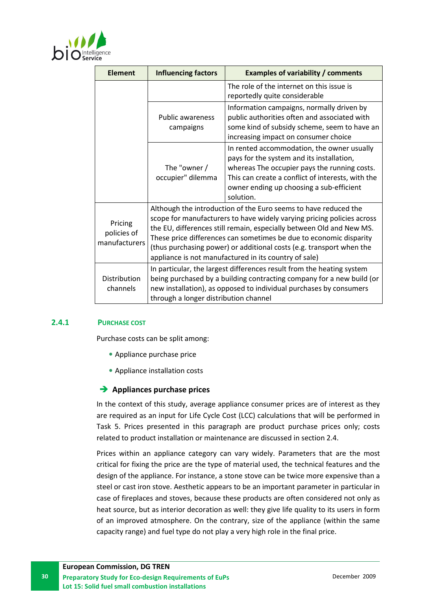

| <b>Element</b>                          | <b>Influencing factors</b>                                                                                                                                                                                                                                    | <b>Examples of variability / comments</b>                                                                                                                                                                                                                                                                                                                                                                                |  |
|-----------------------------------------|---------------------------------------------------------------------------------------------------------------------------------------------------------------------------------------------------------------------------------------------------------------|--------------------------------------------------------------------------------------------------------------------------------------------------------------------------------------------------------------------------------------------------------------------------------------------------------------------------------------------------------------------------------------------------------------------------|--|
|                                         |                                                                                                                                                                                                                                                               | The role of the internet on this issue is<br>reportedly quite considerable                                                                                                                                                                                                                                                                                                                                               |  |
|                                         | <b>Public awareness</b><br>campaigns                                                                                                                                                                                                                          | Information campaigns, normally driven by<br>public authorities often and associated with<br>some kind of subsidy scheme, seem to have an<br>increasing impact on consumer choice                                                                                                                                                                                                                                        |  |
|                                         | The "owner /<br>occupier" dilemma                                                                                                                                                                                                                             | In rented accommodation, the owner usually<br>pays for the system and its installation,<br>whereas The occupier pays the running costs.<br>This can create a conflict of interests, with the<br>owner ending up choosing a sub-efficient<br>solution.                                                                                                                                                                    |  |
| Pricing<br>policies of<br>manufacturers |                                                                                                                                                                                                                                                               | Although the introduction of the Euro seems to have reduced the<br>scope for manufacturers to have widely varying pricing policies across<br>the EU, differences still remain, especially between Old and New MS.<br>These price differences can sometimes be due to economic disparity<br>(thus purchasing power) or additional costs (e.g. transport when the<br>appliance is not manufactured in its country of sale) |  |
| <b>Distribution</b><br>channels         | In particular, the largest differences result from the heating system<br>being purchased by a building contracting company for a new build (or<br>new installation), as opposed to individual purchases by consumers<br>through a longer distribution channel |                                                                                                                                                                                                                                                                                                                                                                                                                          |  |

### **2.4.1 PURCHASE COST**

Purchase costs can be split among:

- Appliance purchase price
- Appliance installation costs

# - **Appliances purchase prices**

In the context of this study, average appliance consumer prices are of interest as they are required as an input for Life Cycle Cost (LCC) calculations that will be performed in Task 5. Prices presented in this paragraph are product purchase prices only; costs related to product installation or maintenance are discussed in section 2.4.

Prices within an appliance category can vary widely. Parameters that are the most critical for fixing the price are the type of material used, the technical features and the design of the appliance. For instance, a stone stove can be twice more expensive than a steel or cast iron stove. Aesthetic appears to be an important parameter in particular in case of fireplaces and stoves, because these products are often considered not only as heat source, but as interior decoration as well: they give life quality to its users in form of an improved atmosphere. On the contrary, size of the appliance (within the same capacity range) and fuel type do not play a very high role in the final price.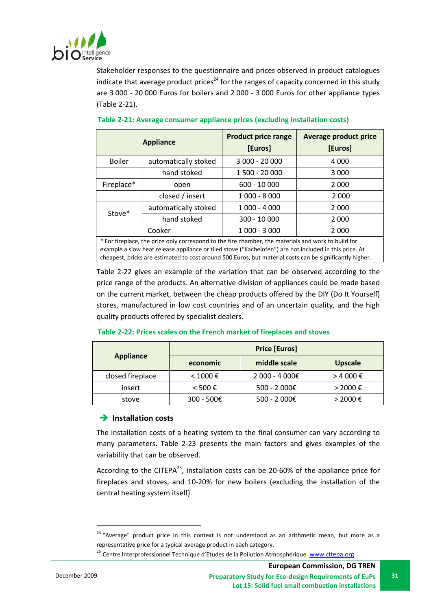

Stakeholder responses to the questionnaire and prices observed in product catalogues indicate that average product prices<sup>24</sup> for the ranges of capacity concerned in this study are 3 000 - 20 000 Euros for boilers and 2 000 - 3 000 Euros for other appliance types (Table 2-21).

| <b>Appliance</b>                                                                                                                                                                                              |                      | <b>Product price range</b><br>[Euros] | <b>Average product price</b><br>[Euros] |
|---------------------------------------------------------------------------------------------------------------------------------------------------------------------------------------------------------------|----------------------|---------------------------------------|-----------------------------------------|
| <b>Boiler</b>                                                                                                                                                                                                 | automatically stoked | 3 000 - 20 000                        | 4 0 0 0                                 |
|                                                                                                                                                                                                               | hand stoked          | 1 500 - 20 000                        | 3 0 0 0                                 |
| Fireplace*                                                                                                                                                                                                    | open                 | $600 - 10000$                         | 2 0 0 0                                 |
|                                                                                                                                                                                                               | closed / insert      | $1000 - 8000$                         | 2 0 0 0                                 |
| Stove*                                                                                                                                                                                                        | automatically stoked | 1 000 - 4 000                         | 2 0 0 0                                 |
|                                                                                                                                                                                                               | hand stoked          | 300 - 10 000                          | 2 0 0 0                                 |
| Cooker                                                                                                                                                                                                        |                      | $1000 - 3000$                         | 2 0 0 0                                 |
| * For fireplace, the price only correspond to the fire chamber, the materials and work to build for<br>example a slow heat release appliance or tiled stove ("Kachelofen") are not included in this price. At |                      |                                       |                                         |

### **Table 2-21: Average consumer appliance prices (excluding installation costs)**

cheapest, bricks are estimated to cost around 500 Euros, but material costs can be significantly higher. Table 2-22 gives an example of the variation that can be observed according to the price range of the products. An alternative division of appliances could be made based on the current market, between the cheap products offered by the DIY (Do It Yourself)

stores, manufactured in low cost countries and of an uncertain quality, and the high quality products offered by specialist dealers.

| <b>Price [Euros]</b> |
|----------------------|

**Table 2-22: Prices scales on the French market of fireplaces and stoves** 

| .                | economic   | middle scale   | <b>Upscale</b> |
|------------------|------------|----------------|----------------|
| closed fireplace | $< 1000$ € | 2 000 - 4 000€ | $>$ 4 000 €    |
| insert           | $<$ 500 €  | 500 - 2 000€   | $>$ 2000 €     |
| stove            | 300 - 500€ | 500 - 2 000€   | $>$ 2000 €     |

# - **Installation costs**

**Appliance** 

The installation costs of a heating system to the final consumer can vary according to many parameters. Table 2-23 presents the main factors and gives examples of the variability that can be observed.

According to the CITEPA<sup>25</sup>, installation costs can be 20-60% of the appliance price for fireplaces and stoves, and 10-20% for new boilers (excluding the installation of the central heating system itself).

<sup>&</sup>lt;sup>24</sup> "Average" product price in this context is not understood as an arithmetic mean, but more as a representative price for a typical average product in each category.

<sup>&</sup>lt;sup>25</sup> Centre Interprofessionnel Technique d'Etudes de la Pollution Atmosphérique. **www.citepa.org**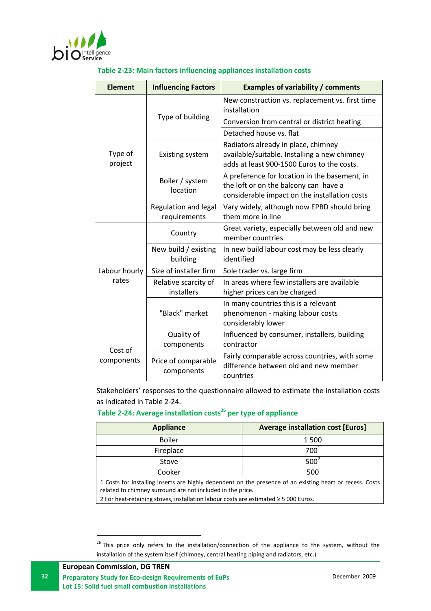

| <b>Element</b>     | <b>Influencing Factors</b>           | <b>Examples of variability / comments</b>                                                                                               |
|--------------------|--------------------------------------|-----------------------------------------------------------------------------------------------------------------------------------------|
|                    |                                      | New construction vs. replacement vs. first time<br>installation                                                                         |
|                    | Type of building                     | Conversion from central or district heating                                                                                             |
|                    |                                      | Detached house vs. flat                                                                                                                 |
| Type of<br>project | Existing system                      | Radiators already in place, chimney<br>available/suitable. Installing a new chimney<br>adds at least 900-1500 Euros to the costs.       |
|                    | Boiler / system<br>location          | A preference for location in the basement, in<br>the loft or on the balcony can have a<br>considerable impact on the installation costs |
|                    | Regulation and legal<br>requirements | Vary widely, although now EPBD should bring<br>them more in line                                                                        |
|                    | Country                              | Great variety, especially between old and new<br>member countries                                                                       |
|                    | New build / existing<br>building     | In new build labour cost may be less clearly<br>identified                                                                              |
| Labour hourly      | Size of installer firm               | Sole trader vs. large firm                                                                                                              |
| rates              | Relative scarcity of<br>installers   | In areas where few installers are available<br>higher prices can be charged                                                             |
|                    | "Black" market                       | In many countries this is a relevant<br>phenomenon - making labour costs<br>considerably lower                                          |
| Cost of            | Quality of<br>components             | Influenced by consumer, installers, building<br>contractor                                                                              |
| components         | Price of comparable<br>components    | Fairly comparable across countries, with some<br>difference between old and new member<br>countries                                     |

| Table 2-23: Main factors influencing appliances installation costs |  |  |  |  |
|--------------------------------------------------------------------|--|--|--|--|
|--------------------------------------------------------------------|--|--|--|--|

Stakeholders' responses to the questionnaire allowed to estimate the installation costs as indicated in Table 2-24.

# **Table 2-24: Average installation costs<sup>26</sup> per type of appliance**

| <b>Appliance</b>                                                                                          | <b>Average installation cost [Euros]</b> |  |
|-----------------------------------------------------------------------------------------------------------|------------------------------------------|--|
| <b>Boiler</b>                                                                                             | 1 500                                    |  |
| Fireplace                                                                                                 | $700^{1}$                                |  |
| Stove                                                                                                     | $500^2$                                  |  |
| Cooker                                                                                                    | 500                                      |  |
| 1 Costs for installing inserts are highly dependent on the presence of an existing heart or recess. Costs |                                          |  |
| related to chimney surround are not included in the price.                                                |                                          |  |

2 For heat-retaining stoves, installation labour costs are estimated ≥ 5 000 Euros.

**European Commission, DG TREN**

 $26$  This price only refers to the installation/connection of the appliance to the system, without the installation of the system itself (chimney, central heating piping and radiators, etc.)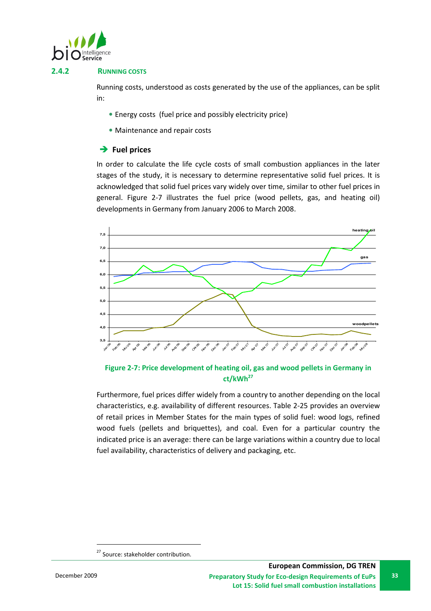

### **2.4.2 RUNNING COSTS**

Running costs, understood as costs generated by the use of the appliances, can be split in:

- Energy costs (fuel price and possibly electricity price)
- Maintenance and repair costs

# - **Fuel prices**

In order to calculate the life cycle costs of small combustion appliances in the later stages of the study, it is necessary to determine representative solid fuel prices. It is acknowledged that solid fuel prices vary widely over time, similar to other fuel prices in general. Figure 2-7 illustrates the fuel price (wood pellets, gas, and heating oil) developments in Germany from January 2006 to March 2008.



**Figure 2-7: Price development of heating oil, gas and wood pellets in Germany in ct/kWh<sup>27</sup>**

Furthermore, fuel prices differ widely from a country to another depending on the local characteristics, e.g. availability of different resources. Table 2-25 provides an overview of retail prices in Member States for the main types of solid fuel: wood logs, refined wood fuels (pellets and briquettes), and coal. Even for a particular country the indicated price is an average: there can be large variations within a country due to local fuel availability, characteristics of delivery and packaging, etc.

<sup>&</sup>lt;sup>27</sup> Source: stakeholder contribution.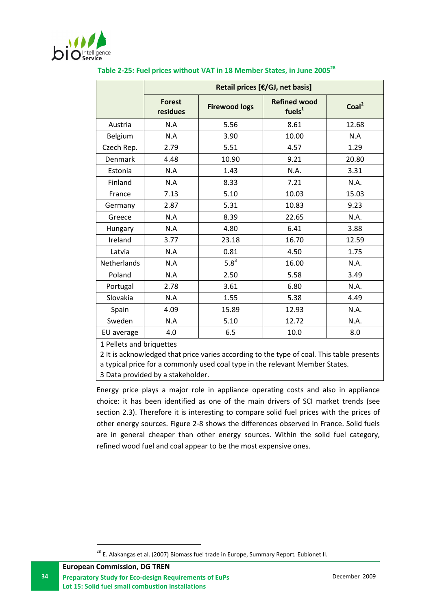

|             | Retail prices [€/GJ, net basis] |                      |                                           |                   |
|-------------|---------------------------------|----------------------|-------------------------------------------|-------------------|
|             | <b>Forest</b><br>residues       | <b>Firewood logs</b> | <b>Refined wood</b><br>fuels <sup>1</sup> | Coal <sup>2</sup> |
| Austria     | N.A                             | 5.56                 | 8.61                                      | 12.68             |
| Belgium     | N.A                             | 3.90                 | 10.00                                     | N.A               |
| Czech Rep.  | 2.79                            | 5.51                 | 4.57                                      | 1.29              |
| Denmark     | 4.48                            | 10.90                | 9.21                                      | 20.80             |
| Estonia     | N.A                             | 1.43                 | N.A.                                      | 3.31              |
| Finland     | N.A                             | 8.33                 | 7.21                                      | N.A.              |
| France      | 7.13                            | 5.10                 | 10.03                                     | 15.03             |
| Germany     | 2.87                            | 5.31                 | 10.83                                     | 9.23              |
| Greece      | N.A                             | 8.39                 | 22.65                                     | N.A.              |
| Hungary     | N.A                             | 4.80                 | 6.41                                      | 3.88              |
| Ireland     | 3.77                            | 23.18                | 16.70                                     | 12.59             |
| Latvia      | N.A                             | 0.81                 | 4.50                                      | 1.75              |
| Netherlands | N.A                             | $5.8^3$              | 16.00                                     | N.A.              |
| Poland      | N.A                             | 2.50                 | 5.58                                      | 3.49              |
| Portugal    | 2.78                            | 3.61                 | 6.80                                      | N.A.              |
| Slovakia    | N.A                             | 1.55                 | 5.38                                      | 4.49              |
| Spain       | 4.09                            | 15.89                | 12.93                                     | N.A.              |
| Sweden      | N.A                             | 5.10                 | 12.72                                     | N.A.              |
| EU average  | 4.0                             | 6.5                  | 10.0                                      | 8.0               |

# **Table 2-25: Fuel prices without VAT in 18 Member States, in June 2005<sup>28</sup>**

1 Pellets and briquettes

2 It is acknowledged that price varies according to the type of coal. This table presents a typical price for a commonly used coal type in the relevant Member States.

3 Data provided by a stakeholder.

Energy price plays a major role in appliance operating costs and also in appliance choice: it has been identified as one of the main drivers of SCI market trends (see section 2.3). Therefore it is interesting to compare solid fuel prices with the prices of other energy sources. Figure 2-8 shows the differences observed in France. Solid fuels are in general cheaper than other energy sources. Within the solid fuel category, refined wood fuel and coal appear to be the most expensive ones.

<sup>28</sup> E. Alakangas et al. (2007) Biomass fuel trade in Europe, Summary Report*.* Eubionet II.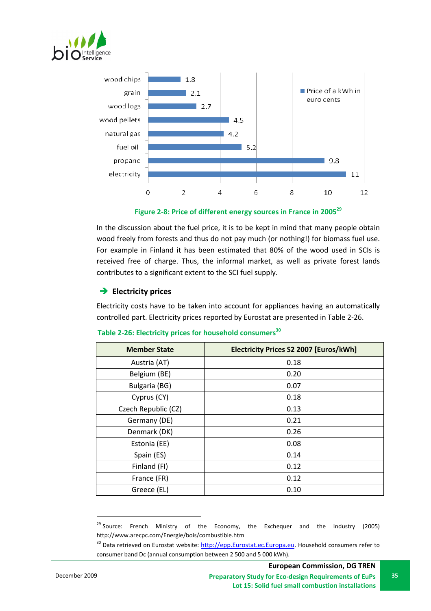



### **Figure 2-8: Price of different energy sources in France in 2005<sup>29</sup>**

In the discussion about the fuel price, it is to be kept in mind that many people obtain wood freely from forests and thus do not pay much (or nothing!) for biomass fuel use. For example in Finland it has been estimated that 80% of the wood used in SCIs is received free of charge. Thus, the informal market, as well as private forest lands contributes to a significant extent to the SCI fuel supply.

# - **Electricity prices**

Electricity costs have to be taken into account for appliances having an automatically controlled part. Electricity prices reported by Eurostat are presented in Table 2-26.

| <b>Member State</b> | <b>Electricity Prices S2 2007 [Euros/kWh]</b> |
|---------------------|-----------------------------------------------|
| Austria (AT)        | 0.18                                          |
| Belgium (BE)        | 0.20                                          |
| Bulgaria (BG)       | 0.07                                          |
| Cyprus (CY)         | 0.18                                          |
| Czech Republic (CZ) | 0.13                                          |
| Germany (DE)        | 0.21                                          |
| Denmark (DK)        | 0.26                                          |
| Estonia (EE)        | 0.08                                          |
| Spain (ES)          | 0.14                                          |
| Finland (FI)        | 0.12                                          |
| France (FR)         | 0.12                                          |
| Greece (EL)         | 0.10                                          |

### **Table 2-26: Electricity prices for household consumers<sup>30</sup>**

 $29$  Source: French Ministry of the Economy, the Exchequer and the Industry (2005) http://www.arecpc.com/Energie/bois/combustible.htm

<sup>&</sup>lt;sup>30</sup> Data retrieved on Eurostat website: http://epp.Eurostat.ec.Europa.eu. Household consumers refer to consumer band Dc (annual consumption between 2 500 and 5 000 kWh).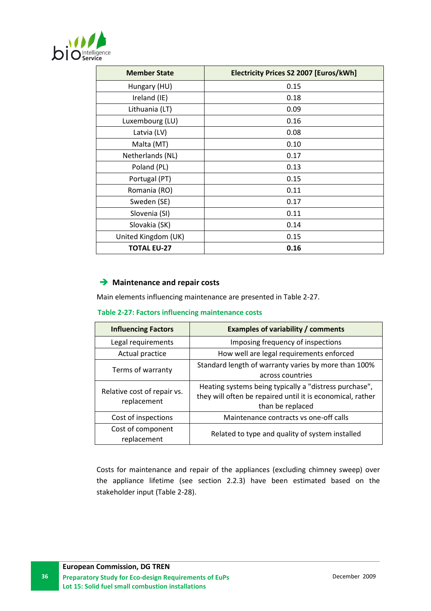

| <b>Member State</b> | <b>Electricity Prices S2 2007 [Euros/kWh]</b> |
|---------------------|-----------------------------------------------|
| Hungary (HU)        | 0.15                                          |
| Ireland (IE)        | 0.18                                          |
| Lithuania (LT)      | 0.09                                          |
| Luxembourg (LU)     | 0.16                                          |
| Latvia (LV)         | 0.08                                          |
| Malta (MT)          | 0.10                                          |
| Netherlands (NL)    | 0.17                                          |
| Poland (PL)         | 0.13                                          |
| Portugal (PT)       | 0.15                                          |
| Romania (RO)        | 0.11                                          |
| Sweden (SE)         | 0.17                                          |
| Slovenia (SI)       | 0.11                                          |
| Slovakia (SK)       | 0.14                                          |
| United Kingdom (UK) | 0.15                                          |
| <b>TOTAL EU-27</b>  | 0.16                                          |

# - **Maintenance and repair costs**

Main elements influencing maintenance are presented in Table 2-27.

|  |  |  | Table 2-27: Factors influencing maintenance costs |  |
|--|--|--|---------------------------------------------------|--|
|--|--|--|---------------------------------------------------|--|

| <b>Influencing Factors</b>                 | <b>Examples of variability / comments</b>                                                                                                |
|--------------------------------------------|------------------------------------------------------------------------------------------------------------------------------------------|
| Legal requirements                         | Imposing frequency of inspections                                                                                                        |
| Actual practice                            | How well are legal requirements enforced                                                                                                 |
| Terms of warranty                          | Standard length of warranty varies by more than 100%<br>across countries                                                                 |
| Relative cost of repair vs.<br>replacement | Heating systems being typically a "distress purchase",<br>they will often be repaired until it is economical, rather<br>than be replaced |
| Cost of inspections                        | Maintenance contracts vs one-off calls                                                                                                   |
| Cost of component<br>replacement           | Related to type and quality of system installed                                                                                          |

Costs for maintenance and repair of the appliances (excluding chimney sweep) over the appliance lifetime (see section 2.2.3) have been estimated based on the stakeholder input (Table 2-28).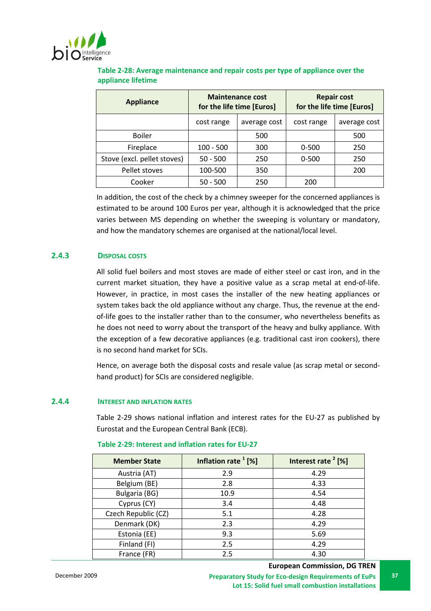

| <b>Appliance</b>            |             | <b>Maintenance cost</b><br>for the life time [Euros] | for the life time [Euros] | <b>Repair cost</b> |
|-----------------------------|-------------|------------------------------------------------------|---------------------------|--------------------|
|                             | cost range  | average cost                                         | cost range                | average cost       |
| <b>Boiler</b>               |             | 500                                                  |                           | 500                |
| Fireplace                   | $100 - 500$ | 300                                                  | $0 - 500$                 | 250                |
| Stove (excl. pellet stoves) | $50 - 500$  | 250                                                  | $0 - 500$                 | 250                |
| Pellet stoves               | 100-500     | 350                                                  |                           | 200                |
| Cooker                      | $50 - 500$  | 250                                                  | 200                       |                    |

### **Table 2-28: Average maintenance and repair costs per type of appliance over the appliance lifetime**

In addition, the cost of the check by a chimney sweeper for the concerned appliances is estimated to be around 100 Euros per year, although it is acknowledged that the price varies between MS depending on whether the sweeping is voluntary or mandatory, and how the mandatory schemes are organised at the national/local level.

### **2.4.3 DISPOSAL COSTS**

All solid fuel boilers and most stoves are made of either steel or cast iron, and in the current market situation, they have a positive value as a scrap metal at end-of-life. However, in practice, in most cases the installer of the new heating appliances or system takes back the old appliance without any charge. Thus, the revenue at the endof-life goes to the installer rather than to the consumer, who nevertheless benefits as he does not need to worry about the transport of the heavy and bulky appliance. With the exception of a few decorative appliances (e.g. traditional cast iron cookers), there is no second hand market for SCIs.

Hence, on average both the disposal costs and resale value (as scrap metal or secondhand product) for SCIs are considered negligible.

### **2.4.4 INTEREST AND INFLATION RATES**

Table 2-29 shows national inflation and interest rates for the EU-27 as published by Eurostat and the European Central Bank (ECB).

| <b>Member State</b> | Inflation rate $1$ [%] | Interest rate $2$ [%] |
|---------------------|------------------------|-----------------------|
| Austria (AT)        | 2.9                    | 4.29                  |
| Belgium (BE)        | 2.8                    | 4.33                  |
| Bulgaria (BG)       | 10.9                   | 4.54                  |
| Cyprus (CY)         | 3.4                    | 4.48                  |
| Czech Republic (CZ) | 5.1                    | 4.28                  |
| Denmark (DK)        | 2.3                    | 4.29                  |
| Estonia (EE)        | 9.3                    | 5.69                  |
| Finland (FI)        | 2.5                    | 4.29                  |
| France (FR)         | 2.5                    | 4.30                  |

### **Table 2-29: Interest and inflation rates for EU-27**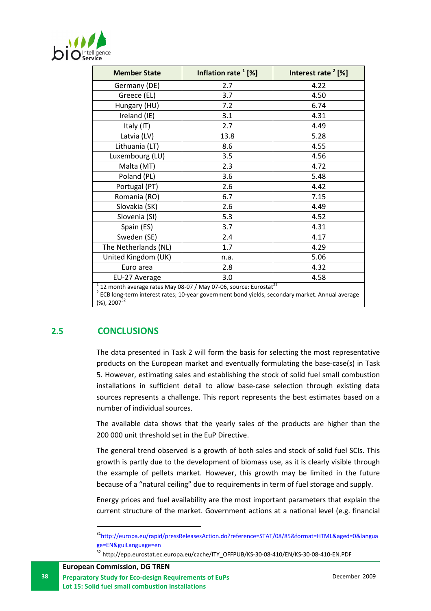

| <b>Member State</b>                                                        | Inflation rate $1$ [%] | Interest rate $2$ [%] |  |  |  |  |
|----------------------------------------------------------------------------|------------------------|-----------------------|--|--|--|--|
| Germany (DE)                                                               | 2.7                    | 4.22                  |  |  |  |  |
| Greece (EL)                                                                | 3.7                    | 4.50                  |  |  |  |  |
| Hungary (HU)                                                               | 7.2                    | 6.74                  |  |  |  |  |
| Ireland (IE)                                                               | 3.1                    | 4.31                  |  |  |  |  |
| Italy (IT)                                                                 | 2.7                    | 4.49                  |  |  |  |  |
| Latvia (LV)                                                                | 13.8                   | 5.28                  |  |  |  |  |
| Lithuania (LT)                                                             | 8.6                    | 4.55                  |  |  |  |  |
| Luxembourg (LU)                                                            | 3.5                    | 4.56                  |  |  |  |  |
| Malta (MT)                                                                 | 2.3                    | 4.72                  |  |  |  |  |
| Poland (PL)                                                                | 3.6                    | 5.48                  |  |  |  |  |
| Portugal (PT)                                                              | 2.6                    | 4.42                  |  |  |  |  |
| Romania (RO)                                                               | 6.7                    | 7.15                  |  |  |  |  |
| Slovakia (SK)                                                              | 2.6                    | 4.49                  |  |  |  |  |
| Slovenia (SI)                                                              | 5.3                    | 4.52                  |  |  |  |  |
| Spain (ES)                                                                 | 3.7                    | 4.31                  |  |  |  |  |
| Sweden (SE)                                                                | 2.4                    | 4.17                  |  |  |  |  |
| The Netherlands (NL)                                                       | 1.7                    | 4.29                  |  |  |  |  |
| United Kingdom (UK)                                                        | n.a.                   | 5.06                  |  |  |  |  |
| Euro area                                                                  | 2.8                    | 4.32                  |  |  |  |  |
| EU-27 Average                                                              | 3.0                    | 4.58                  |  |  |  |  |
| $1$ 12 month average rates May 08-07 / May 07-06, source: Eurostat $^{31}$ |                        |                       |  |  |  |  |

12 month average rates May 08-07 / May 07-06, source: Eurostat<sup>31</sup>

 $2$  ECB long-term interest rates; 10-year government bond yields, secondary market. Annual average  $(%)$ , 2007

# **2.5 CONCLUSIONS**

The data presented in Task 2 will form the basis for selecting the most representative products on the European market and eventually formulating the base-case(s) in Task 5. However, estimating sales and establishing the stock of solid fuel small combustion installations in sufficient detail to allow base-case selection through existing data sources represents a challenge. This report represents the best estimates based on a number of individual sources.

The available data shows that the yearly sales of the products are higher than the 200 000 unit threshold set in the EuP Directive.

The general trend observed is a growth of both sales and stock of solid fuel SCIs. This growth is partly due to the development of biomass use, as it is clearly visible through the example of pellets market. However, this growth may be limited in the future because of a "natural ceiling" due to requirements in term of fuel storage and supply.

Energy prices and fuel availability are the most important parameters that explain the current structure of the market. Government actions at a national level (e.g. financial

<sup>31</sup>http://europa.eu/rapid/pressReleasesAction.do?reference=STAT/08/85&format=HTML&aged=0&langua ge=EN&guiLanguage=en

<sup>32</sup> http://epp.eurostat.ec.europa.eu/cache/ITY\_OFFPUB/KS-30-08-410/EN/KS-30-08-410-EN.PDF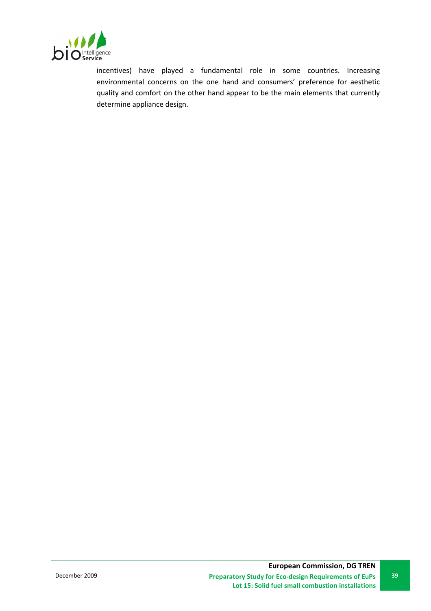

incentives) have played a fundamental role in some countries. Increasing environmental concerns on the one hand and consumers' preference for aesthetic quality and comfort on the other hand appear to be the main elements that currently determine appliance design.

**39**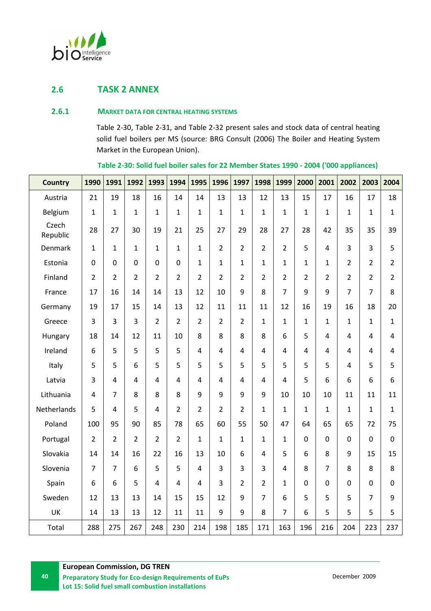

# **2.6 TASK 2 ANNEX**

### **2.6.1 MARKET DATA FOR CENTRAL HEATING SYSTEMS**

Table 2-30, Table 2-31, and Table 2-32 present sales and stock data of central heating solid fuel boilers per MS (source: BRG Consult (2006) The Boiler and Heating System Market in the European Union).

| <b>Country</b>    | 1990           | 1991           | 1992           | 1993           | 1994           | 1995                    | 1996           | 1997           | 1998           | 1999           | 2000           | 2001           | 2002           | 2003           | 2004           |
|-------------------|----------------|----------------|----------------|----------------|----------------|-------------------------|----------------|----------------|----------------|----------------|----------------|----------------|----------------|----------------|----------------|
| Austria           | 21             | 19             | 18             | 16             | 14             | 14                      | 13             | 13             | 12             | 13             | 15             | 17             | 16             | 17             | 18             |
| Belgium           | $\mathbf{1}$   | $\mathbf{1}$   | $\mathbf{1}$   | $\mathbf{1}$   | $\mathbf{1}$   | $\mathbf{1}$            | $\mathbf{1}$   | $\mathbf{1}$   | $\mathbf{1}$   | $\mathbf{1}$   | $\mathbf{1}$   | $\mathbf{1}$   | $\mathbf{1}$   | $\mathbf{1}$   | $\mathbf{1}$   |
| Czech<br>Republic | 28             | 27             | 30             | 19             | 21             | 25                      | 27             | 29             | 28             | 27             | 28             | 42             | 35             | 35             | 39             |
| Denmark           | 1              | $\mathbf{1}$   | $\mathbf{1}$   | $\mathbf{1}$   | $\mathbf{1}$   | $\mathbf{1}$            | $\overline{2}$ | $\overline{2}$ | $\overline{2}$ | $\overline{2}$ | 5              | $\overline{4}$ | 3              | $\overline{3}$ | 5              |
| Estonia           | $\mathbf 0$    | $\Omega$       | $\overline{0}$ | $\overline{0}$ | 0              | $\mathbf{1}$            | $\mathbf{1}$   | $\mathbf{1}$   | $\mathbf{1}$   | $\mathbf{1}$   | $\mathbf{1}$   | $\mathbf{1}$   | $\overline{2}$ | $\overline{2}$ | $\overline{2}$ |
| Finland           | $\overline{2}$ | $\overline{2}$ | $\overline{2}$ | $\overline{2}$ | $\overline{2}$ | $\overline{2}$          | $\overline{2}$ | $\overline{2}$ | $\overline{2}$ | $\overline{2}$ | $\overline{2}$ | $\overline{2}$ | $\overline{2}$ | $\overline{2}$ | $\overline{2}$ |
| France            | 17             | 16             | 14             | 14             | 13             | 12                      | 10             | 9              | 8              | $\overline{7}$ | 9              | 9              | $\overline{7}$ | $\overline{7}$ | 8              |
| Germany           | 19             | 17             | 15             | 14             | 13             | 12                      | 11             | 11             | 11             | 12             | 16             | 19             | 16             | 18             | 20             |
| Greece            | 3              | 3              | 3              | $\overline{2}$ | $\overline{2}$ | $\overline{2}$          | $\overline{2}$ | $\overline{2}$ | $\mathbf{1}$   | $\mathbf{1}$   | $\mathbf{1}$   | $\mathbf{1}$   | $\mathbf{1}$   | $\mathbf{1}$   | $\mathbf{1}$   |
| Hungary           | 18             | 14             | 12             | 11             | 10             | 8                       | 8              | 8              | 8              | 6              | 5              | $\overline{4}$ | 4              | 4              | 4              |
| Ireland           | 6              | 5              | 5              | 5              | 5              | 4                       | $\overline{4}$ | 4              | 4              | 4              | $\overline{4}$ | 4              | 4              | 4              | 4              |
| Italy             | 5              | 5              | 6              | 5              | 5              | 5                       | 5              | 5              | 5              | 5              | 5              | 5              | 4              | 5              | 5              |
| Latvia            | 3              | 4              | 4              | 4              | 4              | $\overline{\mathbf{4}}$ | 4              | 4              | 4              | 4              | 5              | 6              | 6              | 6              | 6              |
| Lithuania         | 4              | 7              | 8              | 8              | 8              | 9                       | 9              | 9              | 9              | 10             | 10             | 10             | 11             | 11             | 11             |
| Netherlands       | 5              | $\overline{4}$ | 5              | $\overline{4}$ | $\overline{2}$ | $\overline{2}$          | $\overline{2}$ | $\overline{2}$ | $\mathbf{1}$   | $\mathbf{1}$   | $\mathbf{1}$   | $\mathbf{1}$   | 1              | $\mathbf{1}$   | $\mathbf{1}$   |
| Poland            | 100            | 95             | 90             | 85             | 78             | 65                      | 60             | 55             | 50             | 47             | 64             | 65             | 65             | 72             | 75             |
| Portugal          | $\overline{2}$ | $\overline{2}$ | $\overline{2}$ | $\overline{2}$ | $\overline{2}$ | $\mathbf{1}$            | $\mathbf{1}$   | $\mathbf{1}$   | $\mathbf{1}$   | $\mathbf{1}$   | $\overline{0}$ | $\Omega$       | $\overline{0}$ | $\overline{0}$ | $\Omega$       |
| Slovakia          | 14             | 14             | 16             | 22             | 16             | 13                      | 10             | 6              | 4              | 5              | 6              | 8              | 9              | 15             | 15             |
| Slovenia          | $\overline{7}$ | $\overline{7}$ | 6              | 5              | 5              | $\overline{4}$          | 3              | 3              | 3              | $\overline{4}$ | 8              | $\overline{7}$ | 8              | 8              | 8              |
| Spain             | 6              | 6              | 5              | 4              | $\overline{4}$ | $\overline{4}$          | 3              | $\overline{2}$ | $\overline{2}$ | $\mathbf{1}$   | $\overline{0}$ | $\mathbf 0$    | 0              | $\overline{0}$ | $\mathbf 0$    |
| Sweden            | 12             | 13             | 13             | 14             | 15             | 15                      | 12             | 9              | $\overline{7}$ | 6              | 5              | 5              | 5              | $\overline{7}$ | 9              |
| UK                | 14             | 13             | 13             | 12             | 11             | 11                      | 9              | 9              | 8              | $\overline{7}$ | 6              | 5              | 5              | 5              | 5              |
| Total             | 288            | 275            | 267            | 248            | 230            | 214                     | 198            | 185            | 171            | 163            | 196            | 216            | 204            | 223            | 237            |

### **Table 2-30: Solid fuel boiler sales for 22 Member States 1990 - 2004 ('000 appliances)**

### **European Commission, DG TREN**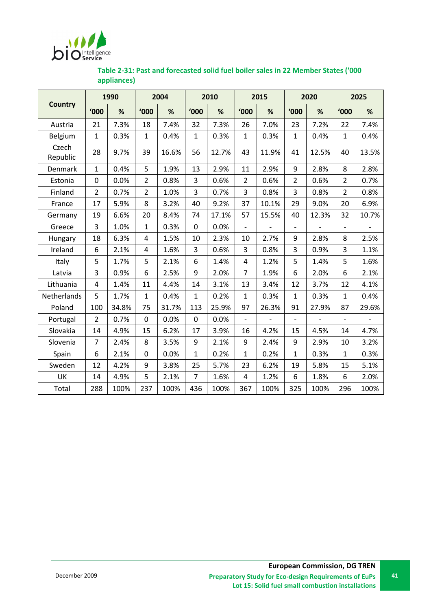

# **Country 1990 2004 2010 2015 2020 2025 '000 % '000 % '000 % '000 % '000 % '000 %**  Austria 21 7.3% 18 7.4% 32 7.3% 26 7.0% 23 7.2% 22 7.4% Belgium | 1 | 0.3% | 1 | 0.4% | 1 | 0.3% | 1 | 0.3% | 1 | 0.4% | 1 | 0.4% Czech Republic 28 9.7% 39 16.6% 56 12.7% 43 11.9% 41 12.5% 40 13.5% Denmark | 1 | 0.4% | 5 | 1.9% | 13 | 2.9% | 11 | 2.9% | 9 | 2.8% | 8 | 2.8% Estonia 0 0.0% 2 0.8% 3 0.6% 2 0.6% 2 0.6% 2 0.7% Finland | 2 | 0.7% | 2 | 1.0% | 3 | 0.7% | 3 | 0.8% | 3 | 0.8% | 2 | 0.8% France | 17 | 5.9% | 8 | 3.2% | 40 | 9.2% | 37 | 10.1% | 29 | 9.0% | 20 | 6.9% Germany | 19 | 6.6% | 20 | 8.4% | 74 | 17.1% | 57 | 15.5% | 40 | 12.3% | 32 | 10.7% Greece | 3 | 1.0% | 1 | 0.3% | 0 | 0.0% | - | - | - | - | - | - | -Hungary | 18 | 6.3% | 4 | 1.5% | 10 | 2.3% | 10 | 2.7% | 9 | 2.8% | 8 | 2.5% Ireland | 6 | 2.1% | 4 | 1.6% | 3 | 0.6% | 3 | 0.8% | 3 | 0.9% | 3 | 1.1% Italy | 5 | 1.7% | 5 | 2.1% | 6 | 1.4% | 4 | 1.2% | 5 | 1.4% | 5 | 1.6% Latvia 3 0.9% 6 2.5% 9 2.0% 7 1.9% 6 2.0% 6 2.1% Lithuania 4 1.4% 11 4.4% 14 3.1% 13 3.4% 12 3.7% 12 4.1% Netherlands | 5 | 1.7% | 1 | 0.4% | 1 | 0.2% | 1 | 0.3% | 1 | 0.3% | 1 | 0.4% Poland | 100 | 34.8% | 75 | 31.7% | 113 | 25.9% | 97 | 26.3% | 91 | 27.9% | 87 | 29.6% Portugal | 2 | 0.7% | 0 | 0.0% | 0 | 0.0% | - | - | - | - | - | - | -Slovakia 14 4.9% 15 6.2% 17 3.9% 16 4.2% 15 4.5% 14 4.7% Slovenia 7 2.4% 8 3.5% 9 2.1% 9 2.4% 9 2.9% 10 3.2% Spain 6 2.1% 0 0.0% 1 0.2% 1 0.2% 1 0.3% 1 0.3% Sweden | 12 | 4.2% | 9 | 3.8% | 25 | 5.7% | 23 | 6.2% | 19 | 5.8% | 15 | 5.1% UK 14 4.9% 5 2.1% 7 1.6% 4 1.2% 6 1.8% 6 2.0% Total 288 100% 237 100% 436 100% 367 100% 325 100% 296 100%

# **Table 2-31: Past and forecasted solid fuel boiler sales in 22 Member States ('000 appliances)**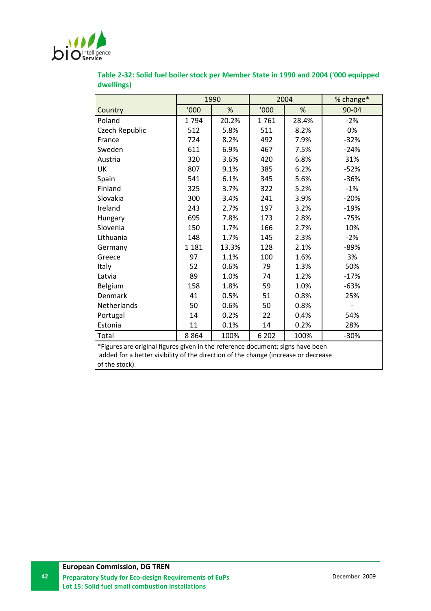

|                                                                                                                                                                      |         | 1990  |         | 2004  | % change* |
|----------------------------------------------------------------------------------------------------------------------------------------------------------------------|---------|-------|---------|-------|-----------|
| Country                                                                                                                                                              | '000    | %     | '000    | %     | 90-04     |
| Poland                                                                                                                                                               | 1794    | 20.2% | 1761    | 28.4% | $-2%$     |
| Czech Republic                                                                                                                                                       | 512     | 5.8%  | 511     | 8.2%  | 0%        |
| France                                                                                                                                                               | 724     | 8.2%  | 492     | 7.9%  | $-32%$    |
| Sweden                                                                                                                                                               | 611     | 6.9%  | 467     | 7.5%  | $-24%$    |
| Austria                                                                                                                                                              | 320     | 3.6%  | 420     | 6.8%  | 31%       |
| UK                                                                                                                                                                   | 807     | 9.1%  | 385     | 6.2%  | $-52%$    |
| Spain                                                                                                                                                                | 541     | 6.1%  | 345     | 5.6%  | $-36%$    |
| Finland                                                                                                                                                              | 325     | 3.7%  | 322     | 5.2%  | $-1%$     |
| Slovakia                                                                                                                                                             | 300     | 3.4%  | 241     | 3.9%  | $-20%$    |
| Ireland                                                                                                                                                              | 243     | 2.7%  | 197     | 3.2%  | $-19%$    |
| Hungary                                                                                                                                                              | 695     | 7.8%  | 173     | 2.8%  | $-75%$    |
| Slovenia                                                                                                                                                             | 150     | 1.7%  | 166     | 2.7%  | 10%       |
| Lithuania                                                                                                                                                            | 148     | 1.7%  | 145     | 2.3%  | $-2%$     |
| Germany                                                                                                                                                              | 1 1 8 1 | 13.3% | 128     | 2.1%  | $-89%$    |
| Greece                                                                                                                                                               | 97      | 1.1%  | 100     | 1.6%  | 3%        |
| Italy                                                                                                                                                                | 52      | 0.6%  | 79      | 1.3%  | 50%       |
| Latvia                                                                                                                                                               | 89      | 1.0%  | 74      | 1.2%  | $-17%$    |
| Belgium                                                                                                                                                              | 158     | 1.8%  | 59      | 1.0%  | $-63%$    |
| Denmark                                                                                                                                                              | 41      | 0.5%  | 51      | 0.8%  | 25%       |
| Netherlands                                                                                                                                                          | 50      | 0.6%  | 50      | 0.8%  |           |
| Portugal                                                                                                                                                             | 14      | 0.2%  | 22      | 0.4%  | 54%       |
| Estonia                                                                                                                                                              | 11      | 0.1%  | 14      | 0.2%  | 28%       |
| Total                                                                                                                                                                | 8864    | 100%  | 6 2 0 2 | 100%  | $-30%$    |
| *Figures are original figures given in the reference document; signs have been<br>added for a better visibility of the direction of the change (increase or decrease |         |       |         |       |           |

### **Table 2-32: Solid fuel boiler stock per Member State in 1990 and 2004 ('000 equipped dwellings)**

of the stock).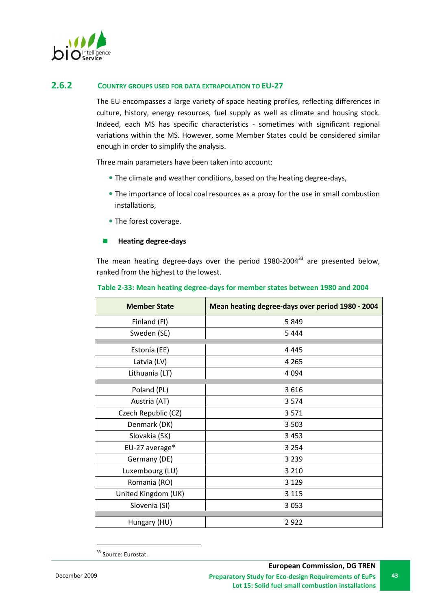

# **2.6.2 COUNTRY GROUPS USED FOR DATA EXTRAPOLATION TO EU-27**

The EU encompasses a large variety of space heating profiles, reflecting differences in culture, history, energy resources, fuel supply as well as climate and housing stock. Indeed, each MS has specific characteristics - sometimes with significant regional variations within the MS. However, some Member States could be considered similar enough in order to simplify the analysis.

Three main parameters have been taken into account:

- The climate and weather conditions, based on the heating degree-days,
- The importance of local coal resources as a proxy for the use in small combustion installations,
- The forest coverage.

### **Heating degree-days**

The mean heating degree-days over the period  $1980-2004^{33}$  are presented below, ranked from the highest to the lowest.

| <b>Member State</b> | Mean heating degree-days over period 1980 - 2004 |
|---------------------|--------------------------------------------------|
| Finland (FI)        | 5849                                             |
| Sweden (SE)         | 5444                                             |
|                     |                                                  |
| Estonia (EE)        | 4 4 4 5                                          |
| Latvia (LV)         | 4 2 6 5                                          |
| Lithuania (LT)      | 4 0 9 4                                          |
|                     |                                                  |
| Poland (PL)         | 3616                                             |
| Austria (AT)        | 3574                                             |
| Czech Republic (CZ) | 3571                                             |
| Denmark (DK)        | 3 5 0 3                                          |
| Slovakia (SK)       | 3 4 5 3                                          |
| EU-27 average*      | 3 2 5 4                                          |
| Germany (DE)        | 3 2 3 9                                          |
| Luxembourg (LU)     | 3 2 1 0                                          |
| Romania (RO)        | 3 1 2 9                                          |
| United Kingdom (UK) | 3 1 1 5                                          |
| Slovenia (SI)       | 3 0 5 3                                          |
|                     |                                                  |
| Hungary (HU)        | 2922                                             |

### **Table 2-33: Mean heating degree-days for member states between 1980 and 2004**

l

**43** 

<sup>&</sup>lt;sup>33</sup> Source: Eurostat.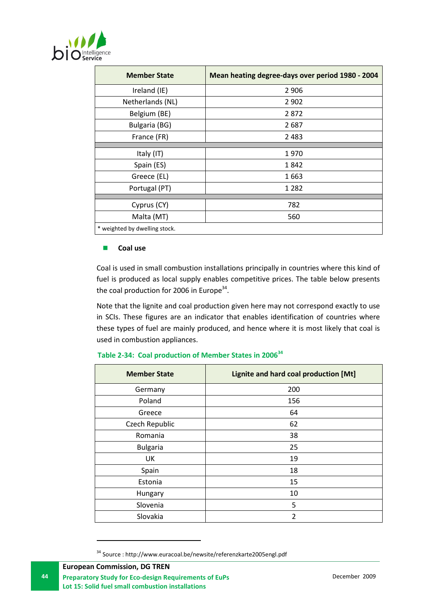

| <b>Member State</b>           | Mean heating degree-days over period 1980 - 2004 |
|-------------------------------|--------------------------------------------------|
| Ireland (IE)                  | 2 9 0 6                                          |
| Netherlands (NL)              | 2 9 0 2                                          |
| Belgium (BE)                  | 2872                                             |
| Bulgaria (BG)                 | 2687                                             |
| France (FR)                   | 2483                                             |
|                               |                                                  |
| Italy (IT)                    | 1970                                             |
| Spain (ES)                    | 1842                                             |
| Greece (EL)                   | 1663                                             |
| Portugal (PT)                 | 1 2 8 2                                          |
|                               |                                                  |
| Cyprus (CY)                   | 782                                              |
| Malta (MT)                    | 560                                              |
| * weighted by dwelling stock. |                                                  |

### **Coal use**

Coal is used in small combustion installations principally in countries where this kind of fuel is produced as local supply enables competitive prices. The table below presents the coal production for 2006 in Europe<sup>34</sup>.

Note that the lignite and coal production given here may not correspond exactly to use in SCIs. These figures are an indicator that enables identification of countries where these types of fuel are mainly produced, and hence where it is most likely that coal is used in combustion appliances.

| <b>Member State</b> | Lignite and hard coal production [Mt] |
|---------------------|---------------------------------------|
| Germany             | 200                                   |
| Poland              | 156                                   |
| Greece              | 64                                    |
| Czech Republic      | 62                                    |
| Romania             | 38                                    |
| <b>Bulgaria</b>     | 25                                    |
| UK                  | 19                                    |
| Spain               | 18                                    |
| Estonia             | 15                                    |
| Hungary             | 10                                    |
| Slovenia            | 5                                     |
| Slovakia            | 2                                     |

# **Table 2-34: Coal production of Member States in 2006<sup>34</sup>**

<sup>34</sup> Source : http://www.euracoal.be/newsite/referenzkarte2005engl.pdf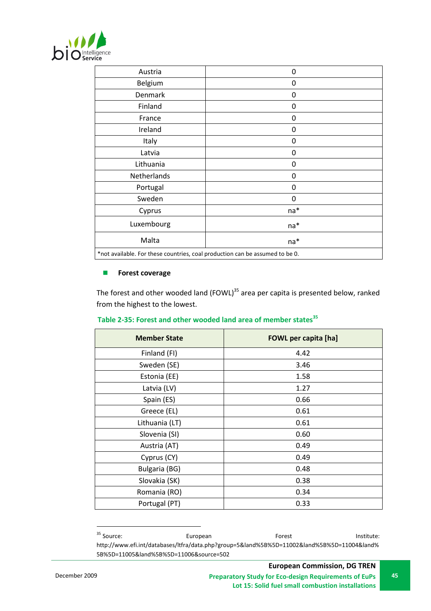

| Austria                                                                      | 0     |  |
|------------------------------------------------------------------------------|-------|--|
| Belgium                                                                      | 0     |  |
| Denmark                                                                      | 0     |  |
| Finland                                                                      | 0     |  |
| France                                                                       | 0     |  |
| Ireland                                                                      | 0     |  |
| Italy                                                                        | 0     |  |
| Latvia                                                                       | 0     |  |
| Lithuania                                                                    | 0     |  |
| Netherlands                                                                  | 0     |  |
| Portugal                                                                     | 0     |  |
| Sweden                                                                       | 0     |  |
| Cyprus                                                                       | $na*$ |  |
| Luxembourg                                                                   | $na*$ |  |
| Malta                                                                        | $na*$ |  |
| *not available. For these countries, coal production can be assumed to be 0. |       |  |

### **Forest coverage**

The forest and other wooded land (FOWL)<sup>35</sup> area per capita is presented below, ranked from the highest to the lowest.

| <b>Member State</b> | <b>FOWL per capita [ha]</b> |  |
|---------------------|-----------------------------|--|
| Finland (FI)        | 4.42                        |  |
| Sweden (SE)         | 3.46                        |  |
| Estonia (EE)        | 1.58                        |  |
| Latvia (LV)         | 1.27                        |  |
| Spain (ES)          | 0.66                        |  |
| Greece (EL)         | 0.61                        |  |
| Lithuania (LT)      | 0.61                        |  |
| Slovenia (SI)       | 0.60                        |  |
| Austria (AT)        | 0.49                        |  |
| Cyprus (CY)         | 0.49                        |  |
| Bulgaria (BG)       | 0.48                        |  |
| Slovakia (SK)       | 0.38                        |  |
| Romania (RO)        | 0.34                        |  |
| Portugal (PT)       | 0.33                        |  |

# **Table 2-35: Forest and other wooded land area of member states<sup>35</sup>**

<sup>&</sup>lt;sup>35</sup> Source: European Forest European Forest European European Forest http://www.efi.int/databases/ltfra/data.php?group=5&land%5B%5D=11002&land%5B%5D=11004&land% 5B%5D=11005&land%5B%5D=11006&source=502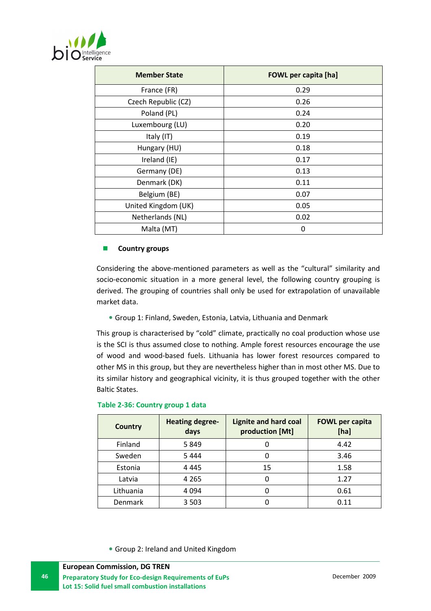

| <b>Member State</b> | <b>FOWL per capita [ha]</b> |  |
|---------------------|-----------------------------|--|
| France (FR)         | 0.29                        |  |
| Czech Republic (CZ) | 0.26                        |  |
| Poland (PL)         | 0.24                        |  |
| Luxembourg (LU)     | 0.20                        |  |
| Italy (IT)          | 0.19                        |  |
| Hungary (HU)        | 0.18                        |  |
| Ireland (IE)        | 0.17                        |  |
| Germany (DE)        | 0.13                        |  |
| Denmark (DK)        | 0.11                        |  |
| Belgium (BE)        | 0.07                        |  |
| United Kingdom (UK) | 0.05                        |  |
| Netherlands (NL)    | 0.02                        |  |
| Malta (MT)          | 0                           |  |

### **E** Country groups

Considering the above-mentioned parameters as well as the "cultural" similarity and socio-economic situation in a more general level, the following country grouping is derived. The grouping of countries shall only be used for extrapolation of unavailable market data.

• Group 1: Finland, Sweden, Estonia, Latvia, Lithuania and Denmark

This group is characterised by "cold" climate, practically no coal production whose use is the SCI is thus assumed close to nothing. Ample forest resources encourage the use of wood and wood-based fuels. Lithuania has lower forest resources compared to other MS in this group, but they are nevertheless higher than in most other MS. Due to its similar history and geographical vicinity, it is thus grouped together with the other Baltic States.

| <b>Country</b> | <b>Heating degree-</b><br>days | <b>Lignite and hard coal</b><br>production [Mt] | <b>FOWL per capita</b><br>[ha] |
|----------------|--------------------------------|-------------------------------------------------|--------------------------------|
| Finland        | 5849                           | 0                                               | 4.42                           |
| Sweden         | 5444                           | 0                                               | 3.46                           |
| Estonia        | 4 4 4 5                        | 15                                              | 1.58                           |
| Latvia         | 4 2 6 5                        | 0                                               | 1.27                           |
| Lithuania      | 4 0 9 4                        | 0                                               | 0.61                           |
| <b>Denmark</b> | 3 503                          | 0                                               | 0.11                           |

### **Table 2-36: Country group 1 data**

• Group 2: Ireland and United Kingdom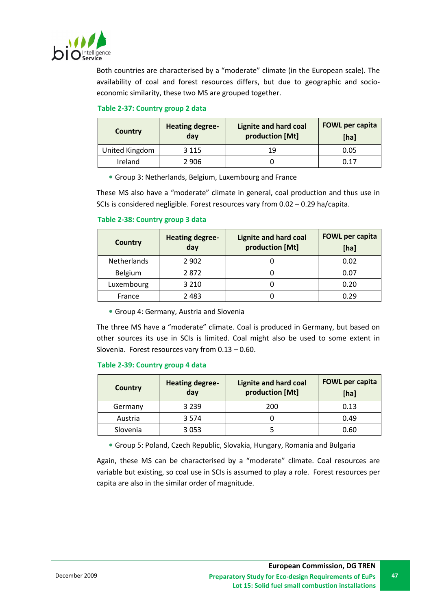

Both countries are characterised by a "moderate" climate (in the European scale). The availability of coal and forest resources differs, but due to geographic and socioeconomic similarity, these two MS are grouped together.

### **Table 2-37: Country group 2 data**

| Country        | <b>Heating degree-</b><br>day | Lignite and hard coal<br>production [Mt] | <b>FOWL per capita</b><br>[ha] |
|----------------|-------------------------------|------------------------------------------|--------------------------------|
| United Kingdom | 3 1 1 5                       | 19                                       | 0.05                           |
| Ireland        | 2 906                         |                                          | 0.17                           |

• Group 3: Netherlands, Belgium, Luxembourg and France

These MS also have a "moderate" climate in general, coal production and thus use in SCIs is considered negligible. Forest resources vary from 0.02 – 0.29 ha/capita.

| Country            | <b>Heating degree-</b><br>day | <b>Lignite and hard coal</b><br>production [Mt] | <b>FOWL per capita</b><br>[ha] |
|--------------------|-------------------------------|-------------------------------------------------|--------------------------------|
| <b>Netherlands</b> | 2 9 0 2                       |                                                 | 0.02                           |
| Belgium            | 2872                          |                                                 | 0.07                           |
| Luxembourg         | 3 2 1 0                       | U                                               | 0.20                           |
| France             | 2483                          |                                                 | 0.29                           |

### **Table 2-38: Country group 3 data**

• Group 4: Germany, Austria and Slovenia

The three MS have a "moderate" climate. Coal is produced in Germany, but based on other sources its use in SCIs is limited. Coal might also be used to some extent in Slovenia. Forest resources vary from 0.13 – 0.60.

### **Table 2-39: Country group 4 data**

| Country  | <b>Heating degree-</b><br>day | <b>Lignite and hard coal</b><br>production [Mt] | <b>FOWL per capita</b><br>[ha] |
|----------|-------------------------------|-------------------------------------------------|--------------------------------|
| Germany  | 3 2 3 9                       | 200                                             | 0.13                           |
| Austria  | 3 5 7 4                       |                                                 | 0.49                           |
| Slovenia | 3053                          |                                                 | 0.60                           |

• Group 5: Poland, Czech Republic, Slovakia, Hungary, Romania and Bulgaria

Again, these MS can be characterised by a "moderate" climate. Coal resources are variable but existing, so coal use in SCIs is assumed to play a role. Forest resources per capita are also in the similar order of magnitude.